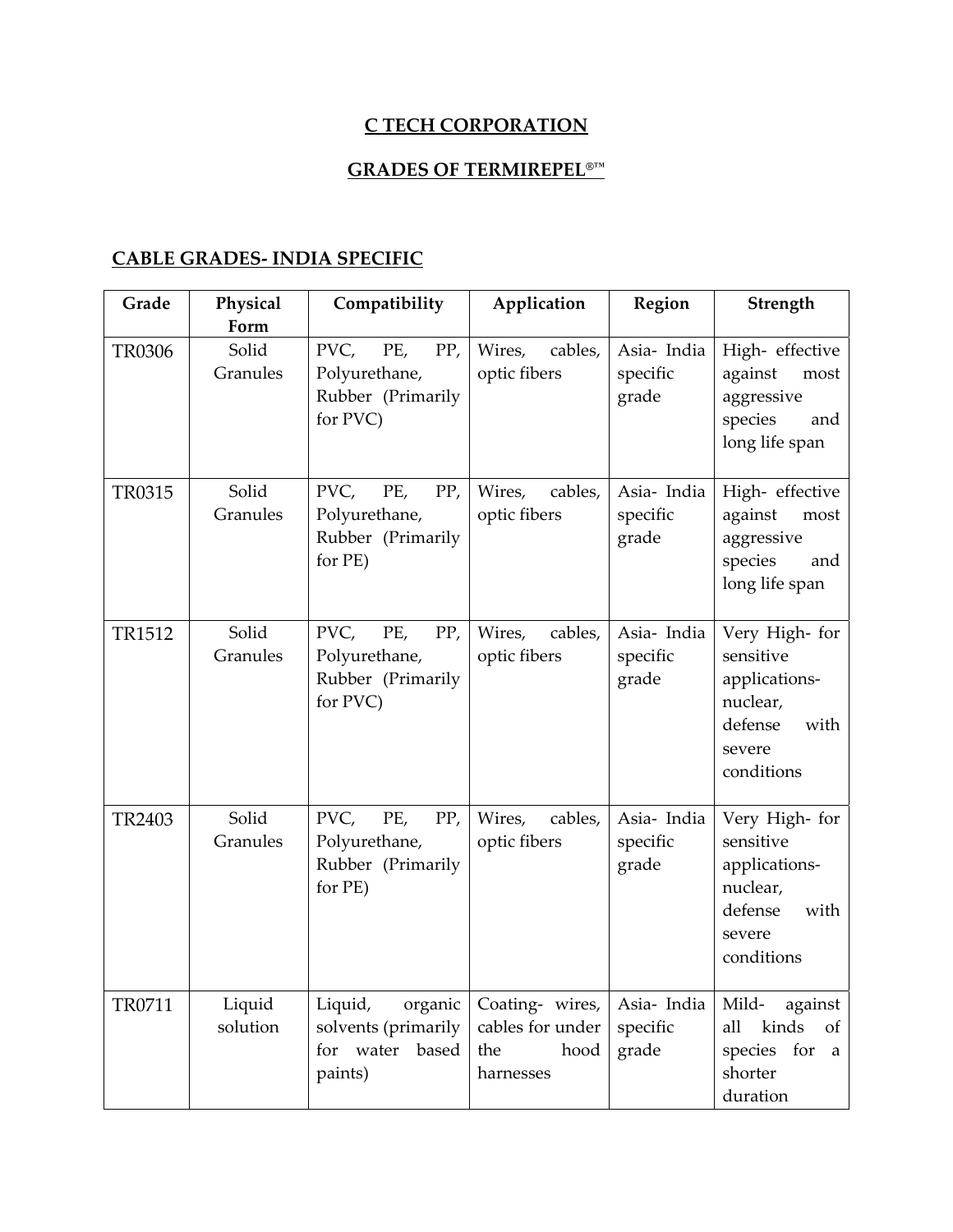#### **C TECH CORPORATION**

## **GRADES OF TERMIREPEL®™**

#### **CABLE GRADES‐ INDIA SPECIFIC**

| Grade         | Physical<br>Form   | Compatibility                                                           | Application                                                     | Region                           | Strength                                                                                            |
|---------------|--------------------|-------------------------------------------------------------------------|-----------------------------------------------------------------|----------------------------------|-----------------------------------------------------------------------------------------------------|
| <b>TR0306</b> | Solid<br>Granules  | PVC,<br>PE,<br>PP,<br>Polyurethane,<br>Rubber (Primarily<br>for PVC)    | Wires,<br>cables,<br>optic fibers                               | Asia-India<br>specific<br>grade  | High- effective<br>against<br>most<br>aggressive<br>species<br>and<br>long life span                |
| TR0315        | Solid<br>Granules  | PVC,<br>PE,<br>PP,<br>Polyurethane,<br>Rubber (Primarily<br>for PE)     | cables,<br>Wires,<br>optic fibers                               | Asia- India<br>specific<br>grade | High- effective<br>against<br>most<br>aggressive<br>species<br>and<br>long life span                |
| TR1512        | Solid<br>Granules  | PVC,<br>PE,<br>PP,<br>Polyurethane,<br>Rubber (Primarily<br>for PVC)    | Wires,<br>cables,<br>optic fibers                               | Asia- India<br>specific<br>grade | Very High- for<br>sensitive<br>applications-<br>nuclear,<br>defense<br>with<br>severe<br>conditions |
| TR2403        | Solid<br>Granules  | PVC,<br>PE,<br>PP,<br>Polyurethane,<br>Rubber (Primarily<br>for PE)     | Wires,<br>cables,<br>optic fibers                               | Asia-India<br>specific<br>grade  | Very High- for<br>sensitive<br>applications-<br>nuclear,<br>defense<br>with<br>severe<br>conditions |
| TR0711        | Liquid<br>solution | Liquid,<br>organic<br>solvents (primarily<br>for water based<br>paints) | Coating- wires,<br>cables for under<br>the<br>hood<br>harnesses | Asia-India<br>specific<br>grade  | Mild-<br>against<br>kinds<br>all<br>of<br>species for<br>a<br>shorter<br>duration                   |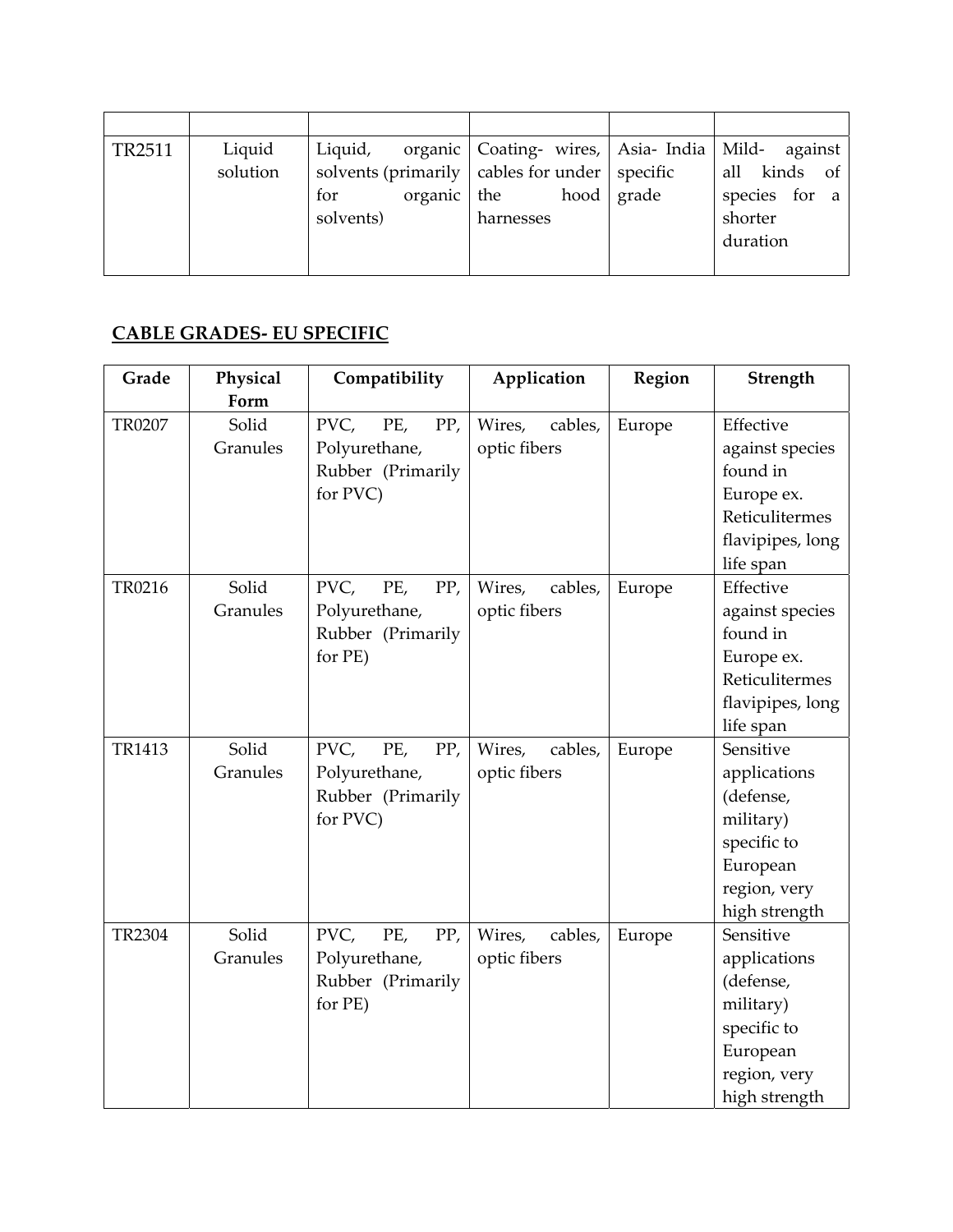| TR <sub>2511</sub> | Liquid<br>solution | Liquid,<br>solvents (primarily $\vert$ cables for under $\vert$ specific<br>organic $\vert$ the<br>for<br>solvents) | organic   Coating- wires,   Asia- India   Mild- against<br>harnesses | hood grade | all kinds of<br>species for a<br>shorter<br>duration |
|--------------------|--------------------|---------------------------------------------------------------------------------------------------------------------|----------------------------------------------------------------------|------------|------------------------------------------------------|
|                    |                    |                                                                                                                     |                                                                      |            |                                                      |

## **CABLE GRADES‐ EU SPECIFIC**

| Grade         | Physical | Compatibility      | Application       | Region | Strength         |
|---------------|----------|--------------------|-------------------|--------|------------------|
|               | Form     |                    |                   |        |                  |
| TR0207        | Solid    | PVC,<br>PE,<br>PP, | Wires,<br>cables, | Europe | Effective        |
|               | Granules | Polyurethane,      | optic fibers      |        | against species  |
|               |          | Rubber (Primarily  |                   |        | found in         |
|               |          | for PVC)           |                   |        | Europe ex.       |
|               |          |                    |                   |        | Reticulitermes   |
|               |          |                    |                   |        | flavipipes, long |
|               |          |                    |                   |        | life span        |
| TR0216        | Solid    | PVC,<br>PE,<br>PP, | Wires,<br>cables, | Europe | Effective        |
|               | Granules | Polyurethane,      | optic fibers      |        | against species  |
|               |          | Rubber (Primarily  |                   |        | found in         |
|               |          | for PE)            |                   |        | Europe ex.       |
|               |          |                    |                   |        | Reticulitermes   |
|               |          |                    |                   |        | flavipipes, long |
|               |          |                    |                   |        | life span        |
| TR1413        | Solid    | PVC,<br>PE,<br>PP, | Wires,<br>cables, | Europe | Sensitive        |
|               | Granules | Polyurethane,      | optic fibers      |        | applications     |
|               |          | Rubber (Primarily  |                   |        | (defense,        |
|               |          | for PVC)           |                   |        | military)        |
|               |          |                    |                   |        | specific to      |
|               |          |                    |                   |        | European         |
|               |          |                    |                   |        | region, very     |
|               |          |                    |                   |        | high strength    |
| <b>TR2304</b> | Solid    | PVC,<br>PE,<br>PP, | Wires,<br>cables, | Europe | Sensitive        |
|               | Granules | Polyurethane,      | optic fibers      |        | applications     |
|               |          | Rubber (Primarily  |                   |        | (defense,        |
|               |          | for PE)            |                   |        | military)        |
|               |          |                    |                   |        | specific to      |
|               |          |                    |                   |        | European         |
|               |          |                    |                   |        | region, very     |
|               |          |                    |                   |        | high strength    |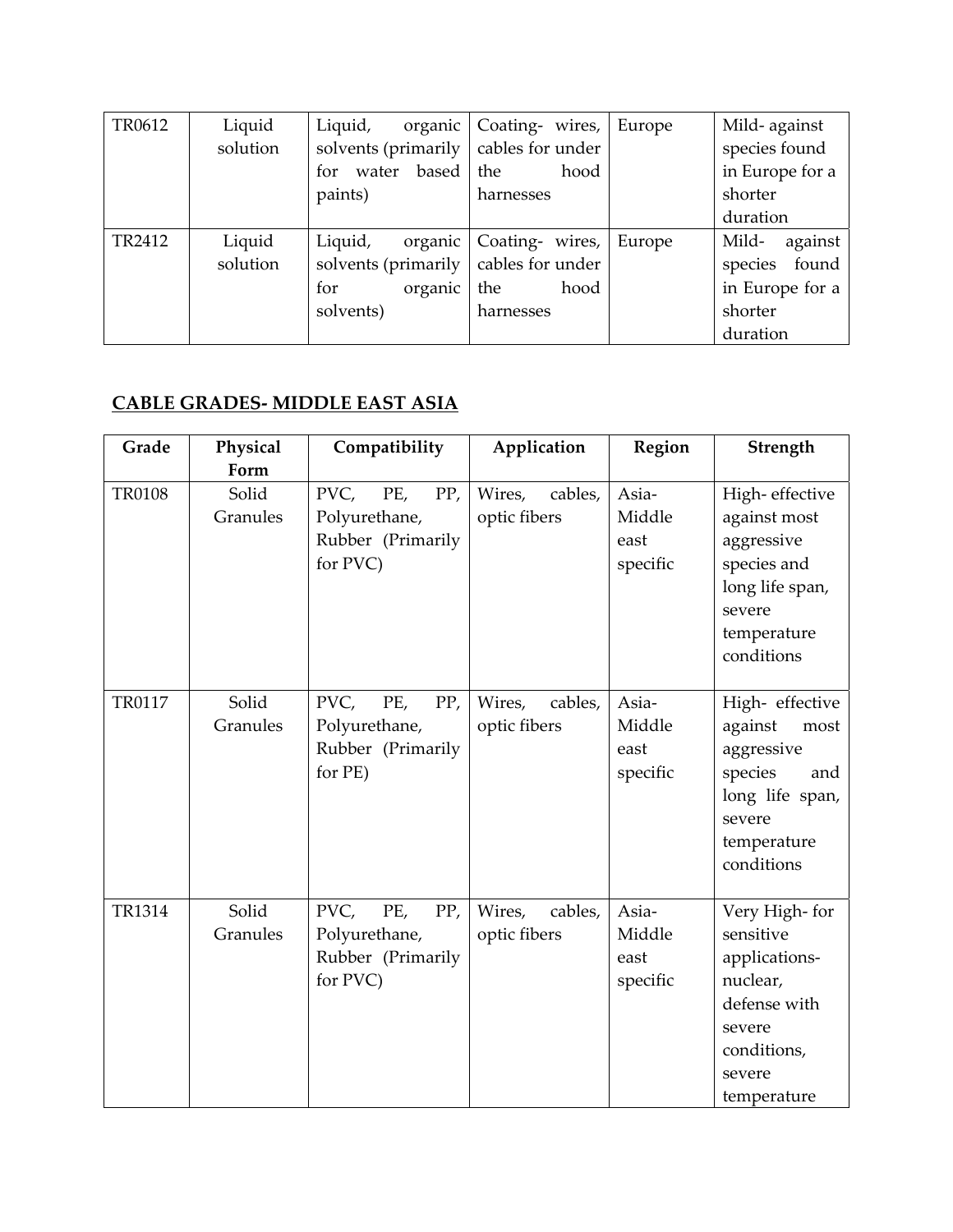| TR0612 | Liquid   | organic<br>Liquid,                           | Coating- wires,  | Europe | Mild-against     |
|--------|----------|----------------------------------------------|------------------|--------|------------------|
|        | solution | solvents (primarily                          | cables for under |        | species found    |
|        |          | water based<br>for                           | the<br>hood      |        | in Europe for a  |
|        |          | paints)                                      | harnesses        |        | shorter          |
|        |          |                                              |                  |        | duration         |
| TR2412 | Liquid   | Liquid,<br>organic                           | Coating- wires,  | Europe | Mild-<br>against |
|        | solution | solvents (primarily $\vert$ cables for under |                  |        | species found    |
|        |          | organic<br>for                               | the<br>hood      |        | in Europe for a  |
|        |          | solvents)                                    | harnesses        |        | shorter          |
|        |          |                                              |                  |        | duration         |

# **CABLE GRADES‐ MIDDLE EAST ASIA**

| Grade         | Physical<br>Form  | Compatibility                                                        | Application                       | Region                              | Strength                                                                                                                    |
|---------------|-------------------|----------------------------------------------------------------------|-----------------------------------|-------------------------------------|-----------------------------------------------------------------------------------------------------------------------------|
| <b>TR0108</b> | Solid<br>Granules | PVC,<br>PP,<br>PE,<br>Polyurethane,<br>Rubber (Primarily<br>for PVC) | Wires,<br>cables,<br>optic fibers | Asia-<br>Middle<br>east<br>specific | High-effective<br>against most<br>aggressive<br>species and<br>long life span,<br>severe<br>temperature<br>conditions       |
| TR0117        | Solid<br>Granules | PVC,<br>PP,<br>PE,<br>Polyurethane,<br>Rubber (Primarily<br>for PE)  | Wires,<br>cables,<br>optic fibers | Asia-<br>Middle<br>east<br>specific | High-effective<br>against<br>most<br>aggressive<br>species<br>and<br>long life span,<br>severe<br>temperature<br>conditions |
| TR1314        | Solid<br>Granules | PVC,<br>PE,<br>PP,<br>Polyurethane,<br>Rubber (Primarily<br>for PVC) | Wires,<br>cables,<br>optic fibers | Asia-<br>Middle<br>east<br>specific | Very High-for<br>sensitive<br>applications-<br>nuclear,<br>defense with<br>severe<br>conditions,<br>severe<br>temperature   |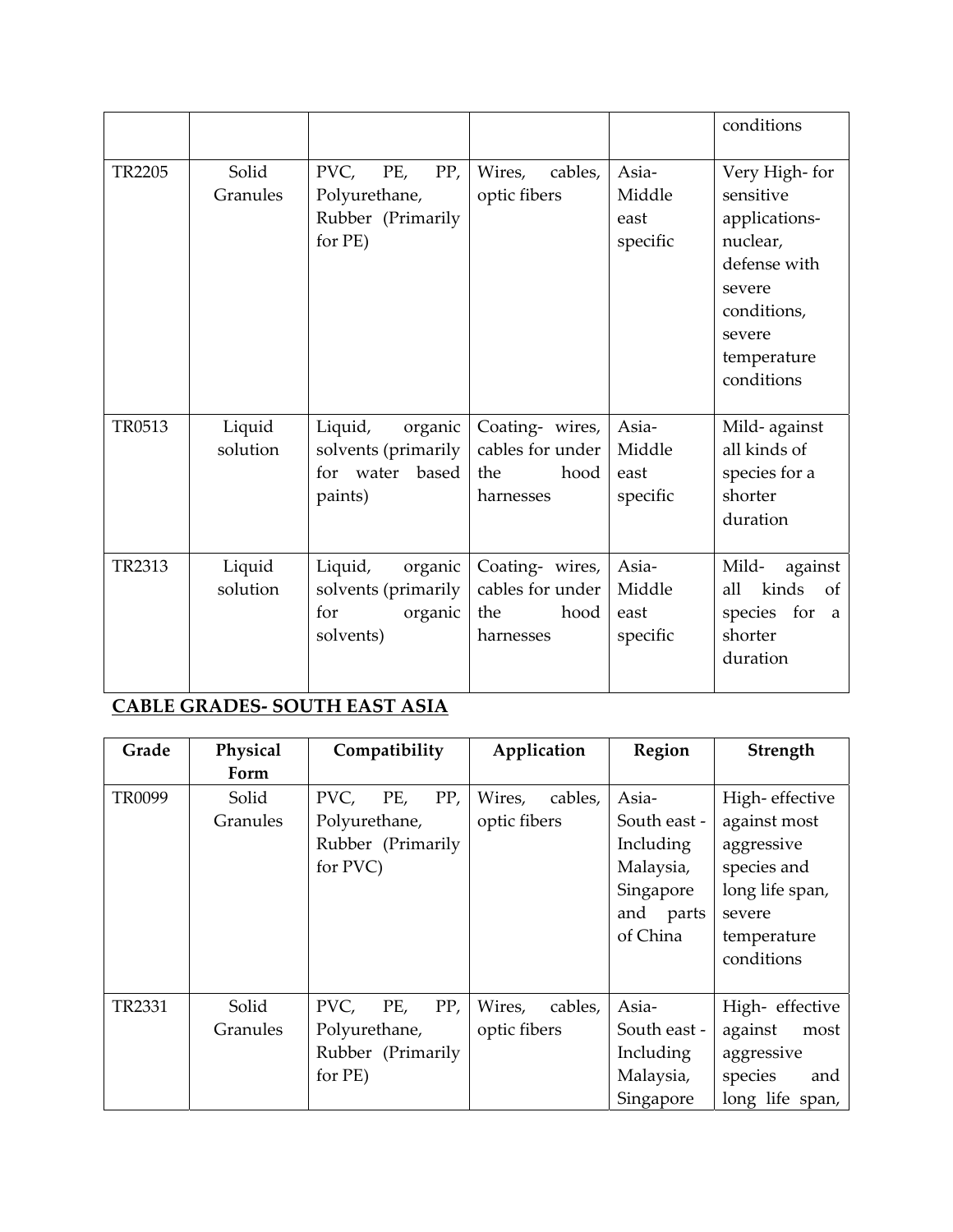|               |                    |                                                                          |                                                                 |                                     | conditions                                                                                                                              |
|---------------|--------------------|--------------------------------------------------------------------------|-----------------------------------------------------------------|-------------------------------------|-----------------------------------------------------------------------------------------------------------------------------------------|
| <b>TR2205</b> | Solid<br>Granules  | PVC,<br>PE,<br>PP,<br>Polyurethane,<br>Rubber (Primarily<br>for PE)      | Wires,<br>cables,<br>optic fibers                               | Asia-<br>Middle<br>east<br>specific | Very High-for<br>sensitive<br>applications-<br>nuclear,<br>defense with<br>severe<br>conditions,<br>severe<br>temperature<br>conditions |
| TR0513        | Liquid<br>solution | Liquid,<br>organic<br>solvents (primarily<br>for water based<br>paints)  | Coating- wires,<br>cables for under<br>the<br>hood<br>harnesses | Asia-<br>Middle<br>east<br>specific | Mild-against<br>all kinds of<br>species for a<br>shorter<br>duration                                                                    |
| TR2313        | Liquid<br>solution | Liquid,<br>organic<br>solvents (primarily<br>organic<br>for<br>solvents) | Coating- wires,<br>cables for under<br>the<br>hood<br>harnesses | Asia-<br>Middle<br>east<br>specific | Mild-<br>against<br>kinds<br>all<br>$\circ$ of<br>species for<br>a<br>shorter<br>duration                                               |

# **CABLE GRADES‐ SOUTH EAST ASIA**

| Grade         | Physical | Compatibility      | Application       | Region       | Strength        |
|---------------|----------|--------------------|-------------------|--------------|-----------------|
|               | Form     |                    |                   |              |                 |
| TR0099        | Solid    | PP,<br>PVC,<br>PE, | Wires,<br>cables, | Asia-        | High-effective  |
|               | Granules | Polyurethane,      | optic fibers      | South east - | against most    |
|               |          | Rubber (Primarily  |                   | Including    | aggressive      |
|               |          | for PVC)           |                   | Malaysia,    | species and     |
|               |          |                    |                   | Singapore    | long life span, |
|               |          |                    |                   | and<br>parts | severe          |
|               |          |                    |                   | of China     | temperature     |
|               |          |                    |                   |              | conditions      |
|               |          |                    |                   |              |                 |
| <b>TR2331</b> | Solid    | PVC,<br>PP,<br>PE, | Wires,<br>cables, | Asia-        | High- effective |
|               | Granules | Polyurethane,      | optic fibers      | South east - | against<br>most |
|               |          | Rubber (Primarily  |                   | Including    | aggressive      |
|               |          | for PE)            |                   | Malaysia,    | species<br>and  |
|               |          |                    |                   | Singapore    | long life span, |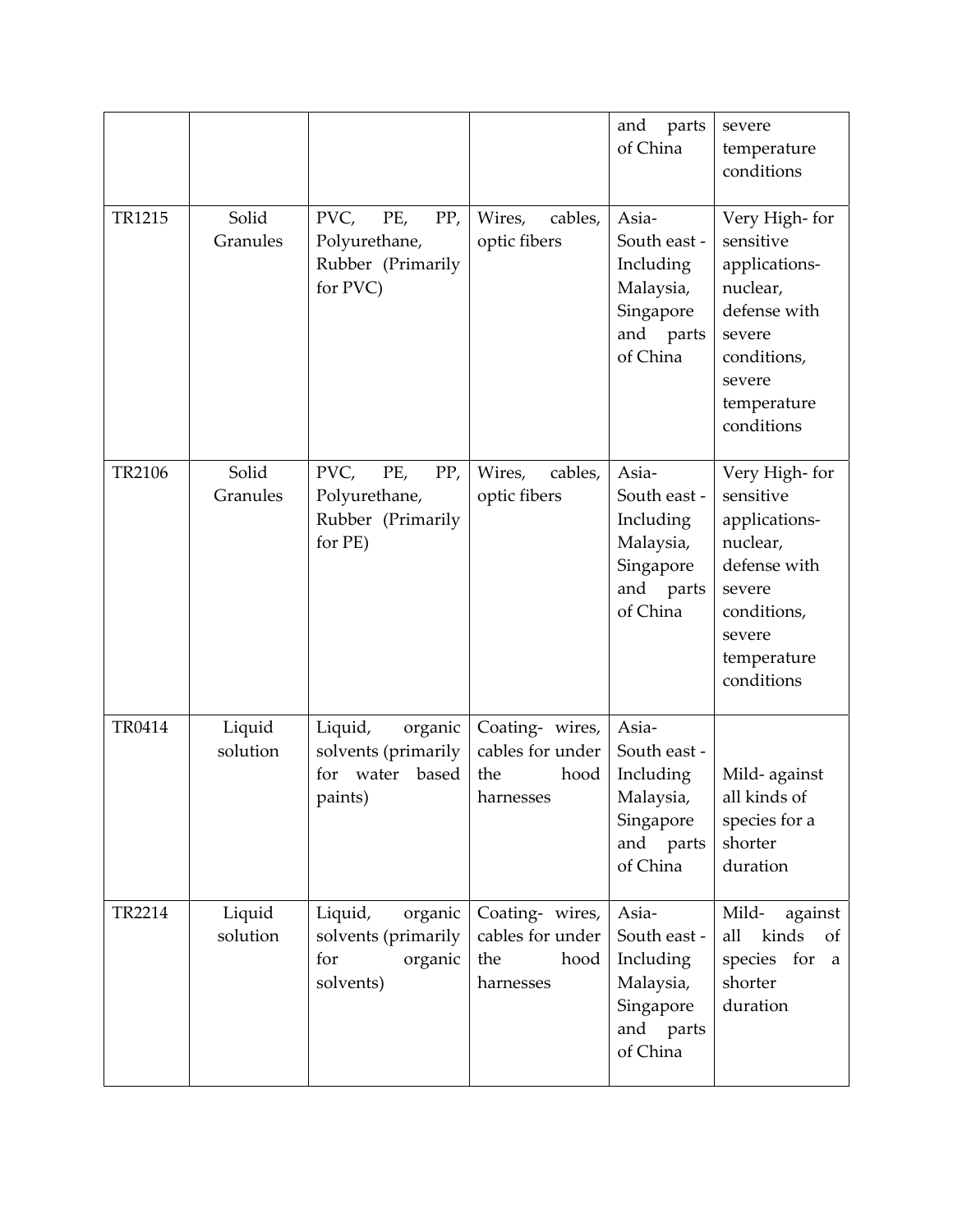|        |                    |                                                                            |                                                                 | and<br>parts<br>of China                                                              | severe<br>temperature<br>conditions                                                                                                     |
|--------|--------------------|----------------------------------------------------------------------------|-----------------------------------------------------------------|---------------------------------------------------------------------------------------|-----------------------------------------------------------------------------------------------------------------------------------------|
| TR1215 | Solid<br>Granules  | PVC,<br>PP,<br>PE,<br>Polyurethane,<br>Rubber (Primarily<br>for PVC)       | Wires,<br>cables,<br>optic fibers                               | Asia-<br>South east -<br>Including<br>Malaysia,<br>Singapore<br>and parts<br>of China | Very High-for<br>sensitive<br>applications-<br>nuclear,<br>defense with<br>severe<br>conditions,<br>severe<br>temperature<br>conditions |
| TR2106 | Solid<br>Granules  | PP,<br>PVC,<br>PE,<br>Polyurethane,<br>Rubber (Primarily<br>for PE)        | Wires,<br>cables,<br>optic fibers                               | Asia-<br>South east -<br>Including<br>Malaysia,<br>Singapore<br>and parts<br>of China | Very High-for<br>sensitive<br>applications-<br>nuclear,<br>defense with<br>severe<br>conditions,<br>severe<br>temperature<br>conditions |
| TR0414 | Liquid<br>solution | Liquid,<br>organic<br>solvents (primarily<br>based<br>for water<br>paints) | Coating- wires,<br>cables for under<br>the<br>hood<br>harnesses | Asia-<br>South east -<br>Including<br>Malaysia,<br>Singapore<br>and parts<br>of China | Mild-against<br>all kinds of<br>species for a<br>shorter<br>duration                                                                    |
| TR2214 | Liquid<br>solution | Liquid,<br>organic<br>solvents (primarily<br>organic<br>for<br>solvents)   | Coating- wires,<br>cables for under<br>the<br>hood<br>harnesses | Asia-<br>South east -<br>Including<br>Malaysia,<br>Singapore<br>and parts<br>of China | Mild-<br>against<br>kinds<br>all<br>of<br>species for<br>a<br>shorter<br>duration                                                       |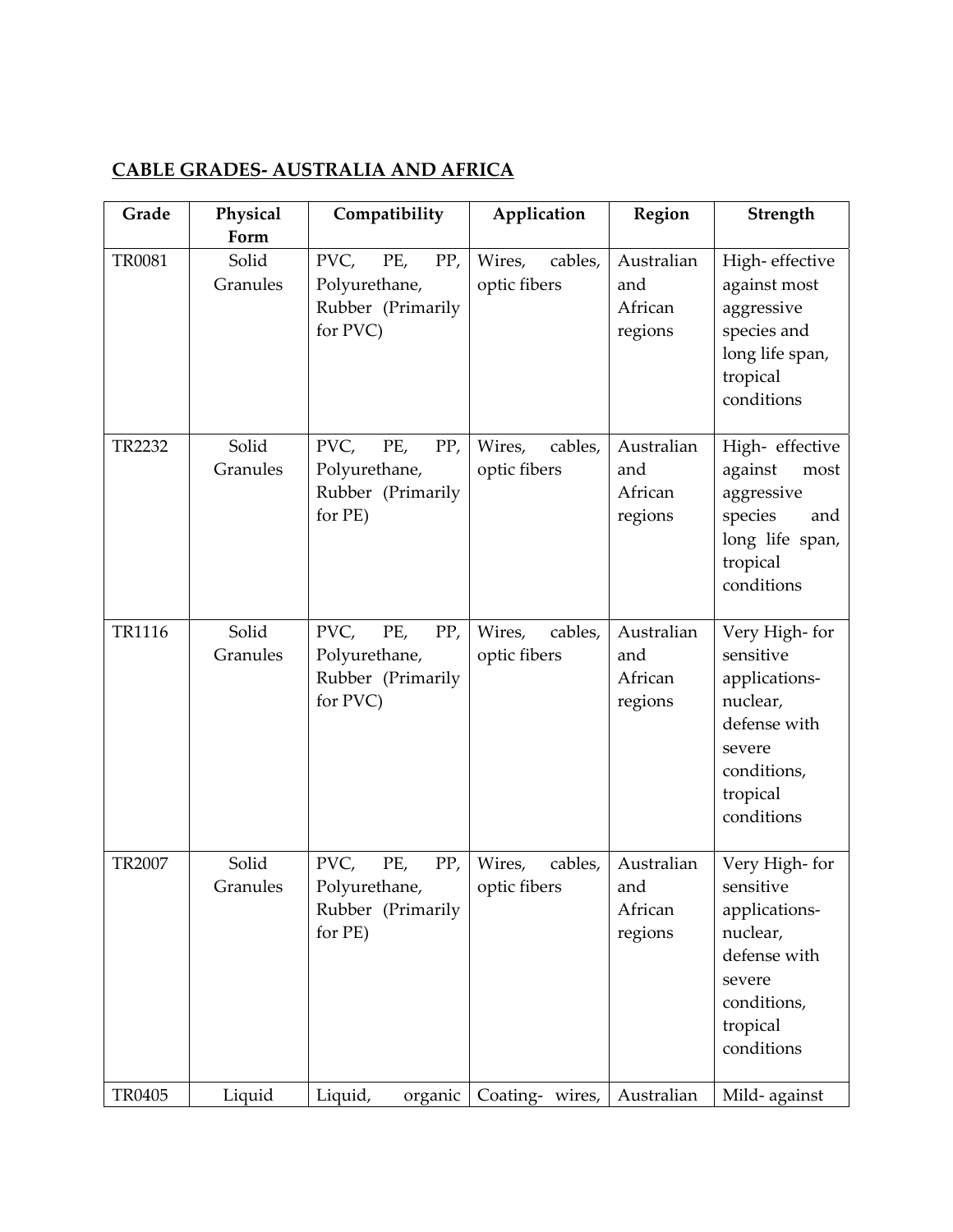## **CABLE GRADES‐ AUSTRALIA AND AFRICA**

| Grade         | Physical<br>Form  | Compatibility                                                        | Application                       | Region                                  | Strength                                                                                                                   |
|---------------|-------------------|----------------------------------------------------------------------|-----------------------------------|-----------------------------------------|----------------------------------------------------------------------------------------------------------------------------|
| <b>TR0081</b> | Solid<br>Granules | PVC,<br>PE,<br>PP,<br>Polyurethane,<br>Rubber (Primarily<br>for PVC) | Wires,<br>cables,<br>optic fibers | Australian<br>and<br>African<br>regions | High-effective<br>against most<br>aggressive<br>species and<br>long life span,<br>tropical<br>conditions                   |
| TR2232        | Solid<br>Granules | PVC,<br>PE,<br>PP,<br>Polyurethane,<br>Rubber (Primarily<br>for PE)  | Wires,<br>cables,<br>optic fibers | Australian<br>and<br>African<br>regions | High-effective<br>against<br>most<br>aggressive<br>species<br>and<br>long life span,<br>tropical<br>conditions             |
| TR1116        | Solid<br>Granules | PVC,<br>PE,<br>PP,<br>Polyurethane,<br>Rubber (Primarily<br>for PVC) | Wires,<br>cables,<br>optic fibers | Australian<br>and<br>African<br>regions | Very High-for<br>sensitive<br>applications-<br>nuclear,<br>defense with<br>severe<br>conditions,<br>tropical<br>conditions |
| TR2007        | Solid<br>Granules | PVC,<br>PE,<br>PP,<br>Polyurethane,<br>Rubber (Primarily<br>for PE)  | Wires,<br>cables,<br>optic fibers | Australian<br>and<br>African<br>regions | Very High-for<br>sensitive<br>applications-<br>nuclear,<br>defense with<br>severe<br>conditions,<br>tropical<br>conditions |
| TR0405        | Liquid            | Liquid,<br>organic                                                   | Coating- wires,                   | Australian                              | Mild-against                                                                                                               |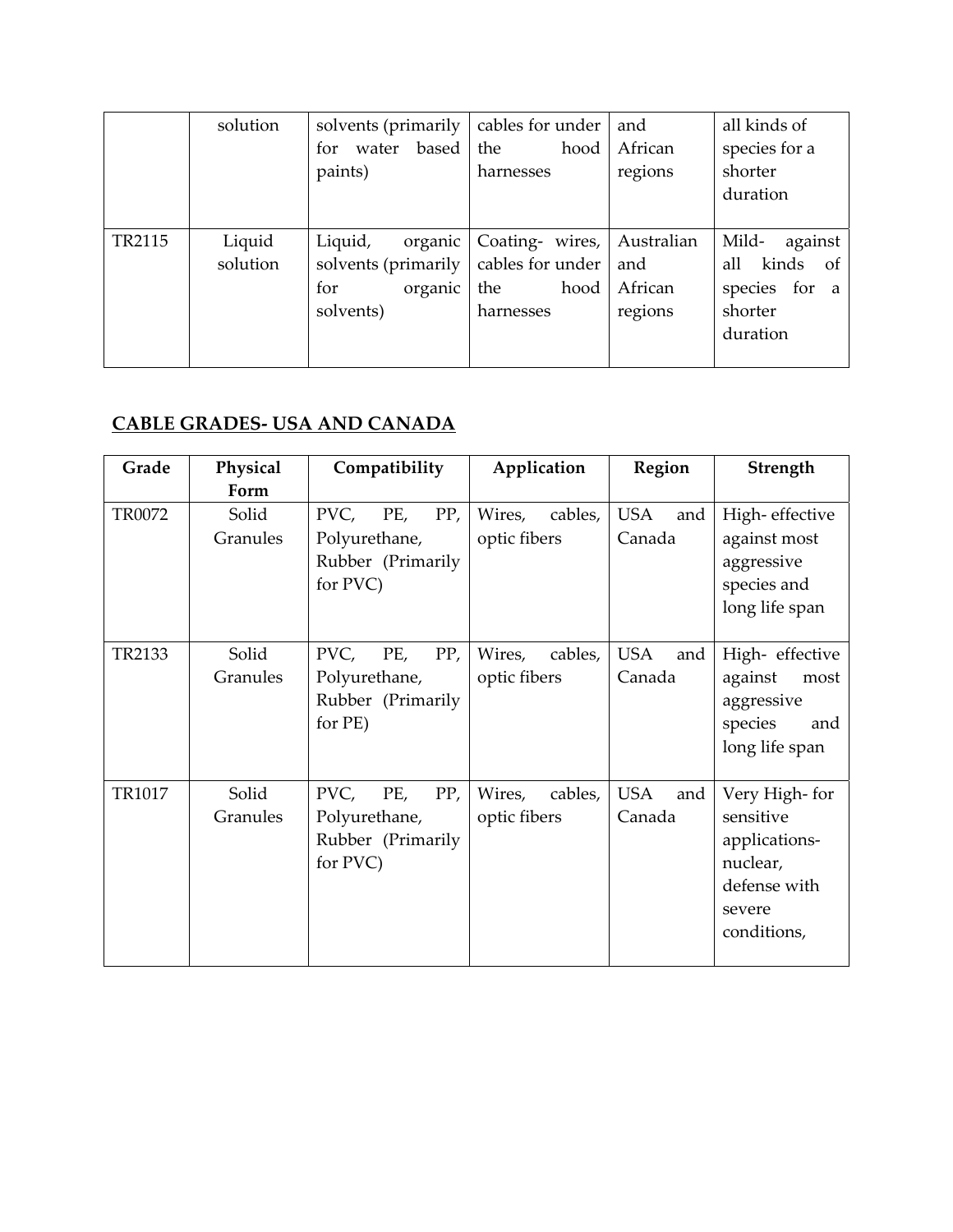|        | solution           | solvents (primarily<br>water based<br>for<br>paints)                     | cables for under<br>the<br>hood<br>harnesses                    | and<br>African<br>regions               | all kinds of<br>species for a<br>shorter<br>duration                          |
|--------|--------------------|--------------------------------------------------------------------------|-----------------------------------------------------------------|-----------------------------------------|-------------------------------------------------------------------------------|
| TR2115 | Liquid<br>solution | Liquid,<br>organic<br>solvents (primarily<br>organic<br>for<br>solvents) | Coating- wires,<br>cables for under<br>hood<br>the<br>harnesses | Australian<br>and<br>African<br>regions | Mild-<br>against<br>all kinds<br>- of<br>species for a<br>shorter<br>duration |

## **CABLE GRADES‐ USA AND CANADA**

| Grade  | Physical          | Compatibility                                                        | Application                       | Region                      | Strength                                                                                         |
|--------|-------------------|----------------------------------------------------------------------|-----------------------------------|-----------------------------|--------------------------------------------------------------------------------------------------|
|        | Form              |                                                                      |                                   |                             |                                                                                                  |
| TR0072 | Solid<br>Granules | PVC,<br>PE,<br>PP,<br>Polyurethane,<br>Rubber (Primarily<br>for PVC) | Wires,<br>cables,<br>optic fibers | <b>USA</b><br>and<br>Canada | High-effective<br>against most<br>aggressive<br>species and<br>long life span                    |
| TR2133 | Solid<br>Granules | PVC,<br>PP,<br>PE,<br>Polyurethane,<br>Rubber (Primarily<br>for PE)  | Wires,<br>cables,<br>optic fibers | <b>USA</b><br>and<br>Canada | High-effective<br>against<br>most<br>aggressive<br>species<br>and<br>long life span              |
| TR1017 | Solid<br>Granules | PVC,<br>PE,<br>PP,<br>Polyurethane,<br>Rubber (Primarily<br>for PVC) | Wires,<br>cables,<br>optic fibers | <b>USA</b><br>and<br>Canada | Very High-for<br>sensitive<br>applications-<br>nuclear,<br>defense with<br>severe<br>conditions, |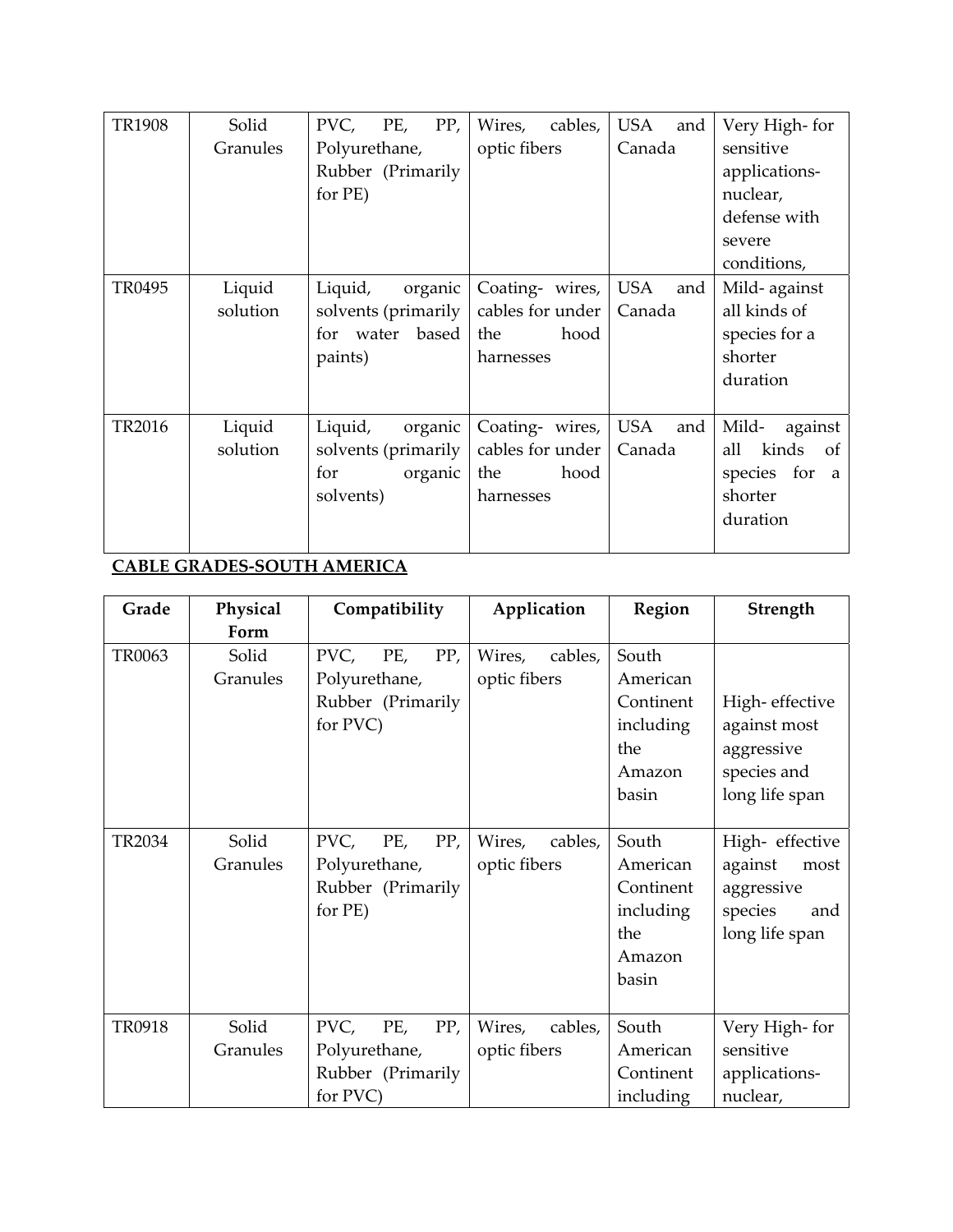| <b>TR1908</b> | Solid              | PVC,<br>PP,<br>PE,                                                           | Wires,<br>cables,                                               | <b>USA</b><br>and    | Very High-for                                                                          |
|---------------|--------------------|------------------------------------------------------------------------------|-----------------------------------------------------------------|----------------------|----------------------------------------------------------------------------------------|
|               | Granules           | Polyurethane,                                                                | optic fibers                                                    | Canada               | sensitive                                                                              |
|               |                    | Rubber (Primarily                                                            |                                                                 |                      | applications-                                                                          |
|               |                    | for PE)                                                                      |                                                                 |                      | nuclear,                                                                               |
|               |                    |                                                                              |                                                                 |                      | defense with                                                                           |
|               |                    |                                                                              |                                                                 |                      | severe                                                                                 |
|               |                    |                                                                              |                                                                 |                      | conditions,                                                                            |
| TR0495        | Liquid<br>solution | Liquid,<br>organic<br>solvents (primarily<br>for water<br>based  <br>paints) | Coating- wires,<br>cables for under<br>hood<br>the<br>harnesses | USA<br>and<br>Canada | Mild-against<br>all kinds of<br>species for a<br>shorter<br>duration                   |
| TR2016        | Liquid<br>solution | Liquid,<br>organic<br>solvents (primarily<br>organic<br>for<br>solvents)     | Coating- wires,<br>cables for under<br>hood<br>the<br>harnesses | USA<br>and<br>Canada | Mild-<br>against<br>kinds<br>all<br>$\circ$ of<br>species for a<br>shorter<br>duration |

#### **CABLE GRADES‐SOUTH AMERICA**

| Grade  | Physical<br>Form  | Compatibility                                                        | Application                       | Region                                                                | Strength                                                                             |
|--------|-------------------|----------------------------------------------------------------------|-----------------------------------|-----------------------------------------------------------------------|--------------------------------------------------------------------------------------|
| TR0063 | Solid<br>Granules | PVC,<br>PP,<br>PE,<br>Polyurethane,<br>Rubber (Primarily<br>for PVC) | Wires,<br>cables,<br>optic fibers | South<br>American<br>Continent<br>including<br>the<br>Amazon<br>basin | High-effective<br>against most<br>aggressive<br>species and<br>long life span        |
| TR2034 | Solid<br>Granules | PP,<br>PVC,<br>PE,<br>Polyurethane,<br>Rubber (Primarily<br>for PE)  | Wires,<br>cables,<br>optic fibers | South<br>American<br>Continent<br>including<br>the<br>Amazon<br>basin | High- effective<br>against<br>most<br>aggressive<br>species<br>and<br>long life span |
| TR0918 | Solid<br>Granules | PVC,<br>PE,<br>PP,<br>Polyurethane,<br>Rubber (Primarily<br>for PVC) | Wires,<br>cables,<br>optic fibers | South<br>American<br>Continent<br>including                           | Very High-for<br>sensitive<br>applications-<br>nuclear,                              |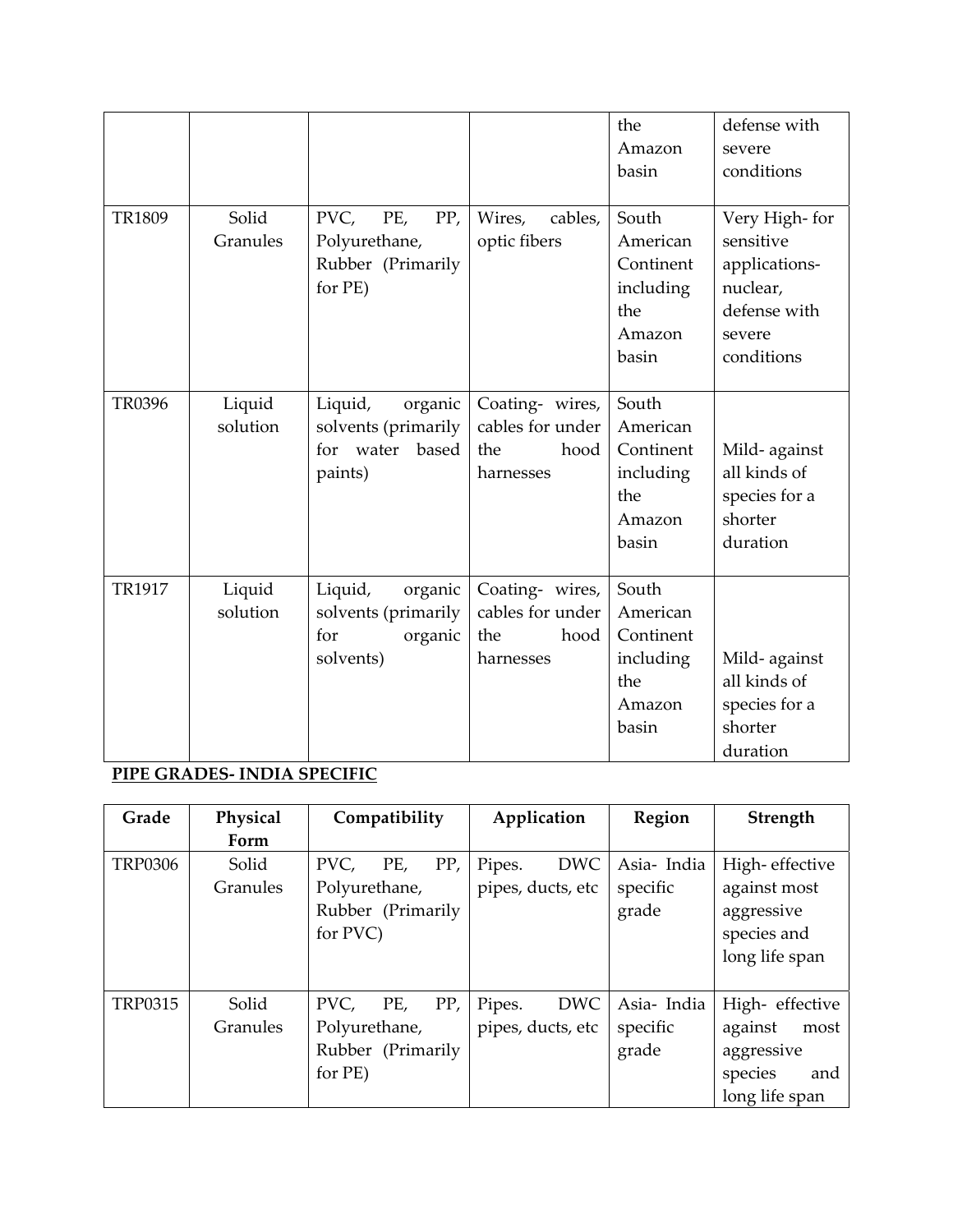|               |                    |                                                                            |                                                                 | the<br>Amazon<br>basin                                                | defense with<br>severe<br>conditions                                                            |
|---------------|--------------------|----------------------------------------------------------------------------|-----------------------------------------------------------------|-----------------------------------------------------------------------|-------------------------------------------------------------------------------------------------|
| <b>TR1809</b> | Solid<br>Granules  | PVC,<br>PE,<br>PP,<br>Polyurethane,<br>Rubber (Primarily<br>for PE)        | Wires,<br>cables,<br>optic fibers                               | South<br>American<br>Continent<br>including<br>the<br>Amazon<br>basin | Very High-for<br>sensitive<br>applications-<br>nuclear,<br>defense with<br>severe<br>conditions |
| <b>TR0396</b> | Liquid<br>solution | Liquid,<br>organic<br>solvents (primarily<br>for water<br>based<br>paints) | Coating- wires,<br>cables for under<br>the<br>hood<br>harnesses | South<br>American<br>Continent<br>including<br>the<br>Amazon<br>basin | Mild-against<br>all kinds of<br>species for a<br>shorter<br>duration                            |
| <b>TR1917</b> | Liquid<br>solution | Liquid,<br>organic<br>solvents (primarily<br>for<br>organic<br>solvents)   | Coating- wires,<br>cables for under<br>hood<br>the<br>harnesses | South<br>American<br>Continent<br>including<br>the<br>Amazon<br>basin | Mild-against<br>all kinds of<br>species for a<br>shorter<br>duration                            |

# **PIPE GRADES‐ INDIA SPECIFIC**

| Grade          | Physical          | Compatibility                                                        | Application                               | Region                          | Strength                                                                            |
|----------------|-------------------|----------------------------------------------------------------------|-------------------------------------------|---------------------------------|-------------------------------------------------------------------------------------|
|                | Form              |                                                                      |                                           |                                 |                                                                                     |
| <b>TRP0306</b> | Solid<br>Granules | PP,<br>PVC,<br>PE,<br>Polyurethane,<br>Rubber (Primarily<br>for PVC) | <b>DWC</b><br>Pipes.<br>pipes, ducts, etc | Asia-India<br>specific<br>grade | High-effective<br>against most<br>aggressive<br>species and<br>long life span       |
| <b>TRP0315</b> | Solid<br>Granules | PP,<br>PVC,<br>PE,<br>Polyurethane,<br>Rubber (Primarily<br>for PE)  | <b>DWC</b><br>Pipes.<br>pipes, ducts, etc | Asia-India<br>specific<br>grade | High-effective<br>against<br>most<br>aggressive<br>species<br>and<br>long life span |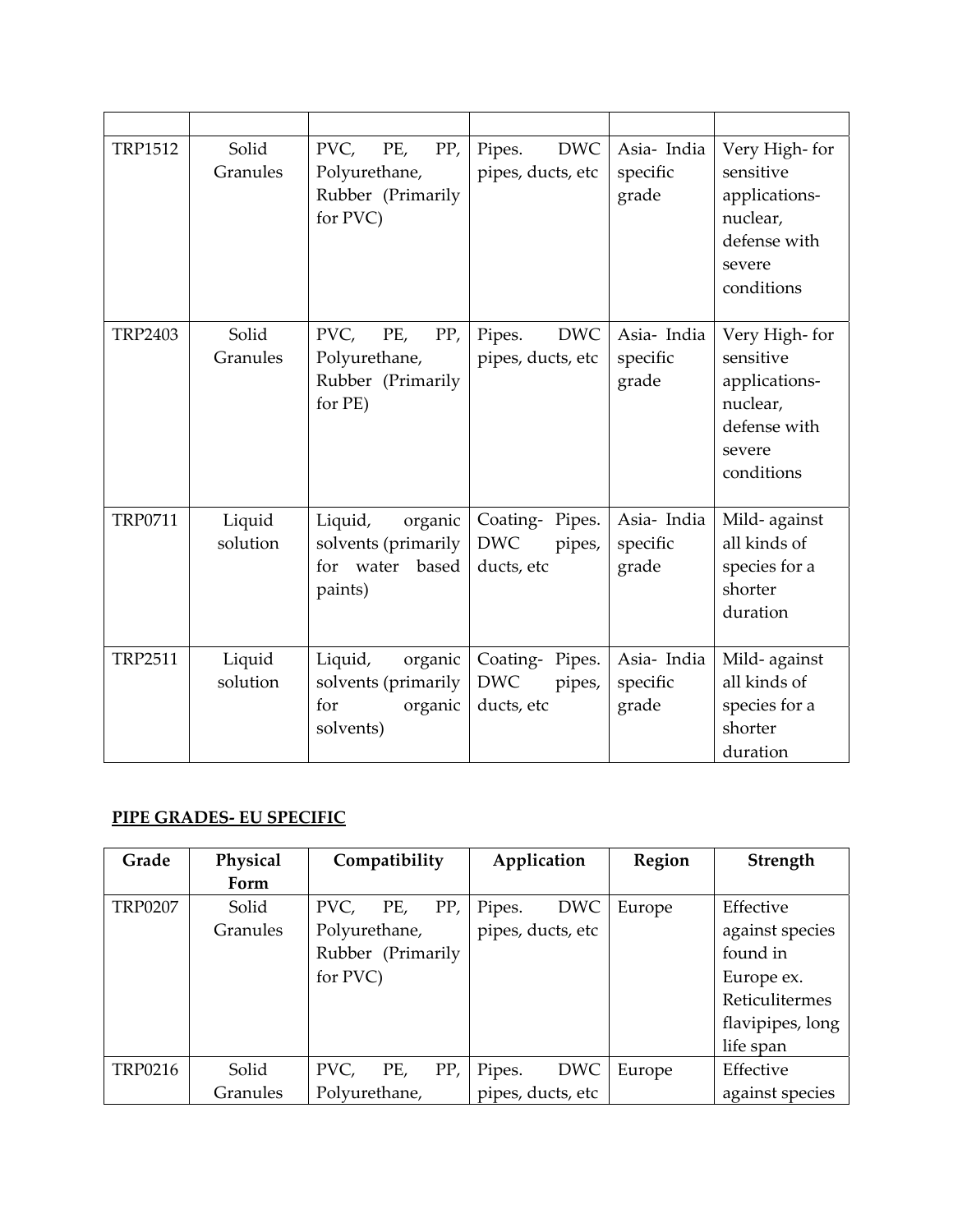| <b>TRP1512</b> | Solid<br>Granules  | PVC,<br>PE,<br>PP,<br>Polyurethane,<br>Rubber (Primarily<br>for PVC)       | <b>DWC</b><br>Pipes.<br>pipes, ducts, etc                      | Asia- India<br>specific<br>grade | Very High-for<br>sensitive<br>applications-<br>nuclear,<br>defense with<br>severe<br>conditions |
|----------------|--------------------|----------------------------------------------------------------------------|----------------------------------------------------------------|----------------------------------|-------------------------------------------------------------------------------------------------|
| <b>TRP2403</b> | Solid<br>Granules  | PVC,<br>PE,<br>PP,<br>Polyurethane,<br>Rubber (Primarily<br>for PE)        | <b>DWC</b><br>Pipes.<br>pipes, ducts, etc                      | Asia- India<br>specific<br>grade | Very High-for<br>sensitive<br>applications-<br>nuclear,<br>defense with<br>severe<br>conditions |
| TRP0711        | Liquid<br>solution | Liquid,<br>organic<br>solvents (primarily<br>for water<br>based<br>paints) | Coating-Pipes.<br>$\operatorname{DWC}$<br>pipes,<br>ducts, etc | Asia- India<br>specific<br>grade | Mild-against<br>all kinds of<br>species for a<br>shorter<br>duration                            |
| <b>TRP2511</b> | Liquid<br>solution | Liquid,<br>organic<br>solvents (primarily<br>for<br>organic<br>solvents)   | Coating-Pipes.<br>$\operatorname{DWC}$<br>pipes,<br>ducts, etc | Asia- India<br>specific<br>grade | Mild-against<br>all kinds of<br>species for a<br>shorter<br>duration                            |

#### **PIPE GRADES‐ EU SPECIFIC**

| Grade          | Physical | Compatibility      | Application          | Region | Strength         |
|----------------|----------|--------------------|----------------------|--------|------------------|
|                | Form     |                    |                      |        |                  |
| <b>TRP0207</b> | Solid    | PP,<br>PE,<br>PVC, | <b>DWC</b><br>Pipes. | Europe | Effective        |
|                | Granules | Polyurethane,      | pipes, ducts, etc    |        | against species  |
|                |          | Rubber (Primarily  |                      |        | found in         |
|                |          | for PVC)           |                      |        | Europe ex.       |
|                |          |                    |                      |        | Reticulitermes   |
|                |          |                    |                      |        | flavipipes, long |
|                |          |                    |                      |        | life span        |
| <b>TRP0216</b> | Solid    | PP,<br>PVC,<br>PE, | <b>DWC</b><br>Pipes. | Europe | Effective        |
|                | Granules | Polyurethane,      | pipes, ducts, etc    |        | against species  |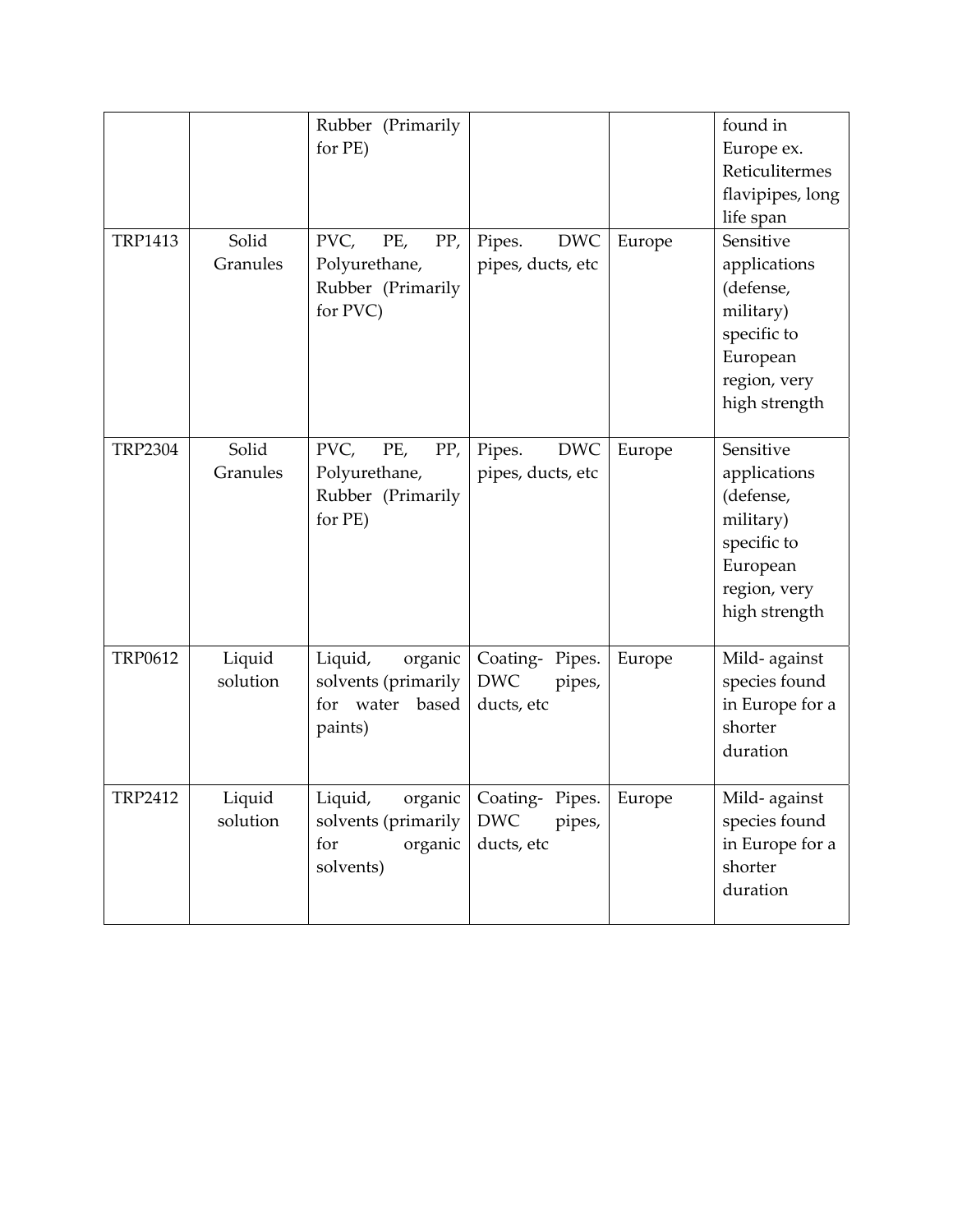|                |                    | Rubber (Primarily<br>for PE)                                             |                                                      |        | found in<br>Europe ex.<br>Reticulitermes<br>flavipipes, long<br>life span                                       |
|----------------|--------------------|--------------------------------------------------------------------------|------------------------------------------------------|--------|-----------------------------------------------------------------------------------------------------------------|
| <b>TRP1413</b> | Solid<br>Granules  | PVC,<br>PE,<br>PP,<br>Polyurethane,<br>Rubber (Primarily<br>for PVC)     | <b>DWC</b><br>Pipes.<br>pipes, ducts, etc            | Europe | Sensitive<br>applications<br>(defense,<br>military)<br>specific to<br>European<br>region, very<br>high strength |
| <b>TRP2304</b> | Solid<br>Granules  | PVC,<br>PE,<br>PP,<br>Polyurethane,<br>Rubber (Primarily<br>for PE)      | <b>DWC</b><br>Pipes.<br>pipes, ducts, etc            | Europe | Sensitive<br>applications<br>(defense,<br>military)<br>specific to<br>European<br>region, very<br>high strength |
| <b>TRP0612</b> | Liquid<br>solution | Liquid,<br>organic<br>solvents (primarily<br>for water based<br>paints)  | Coating-Pipes.<br><b>DWC</b><br>pipes,<br>ducts, etc | Europe | Mild-against<br>species found<br>in Europe for a<br>shorter<br>duration                                         |
| <b>TRP2412</b> | Liquid<br>solution | Liquid,<br>organic<br>solvents (primarily<br>for<br>organic<br>solvents) | Coating-Pipes.<br><b>DWC</b><br>pipes,<br>ducts, etc | Europe | Mild-against<br>species found<br>in Europe for a<br>shorter<br>duration                                         |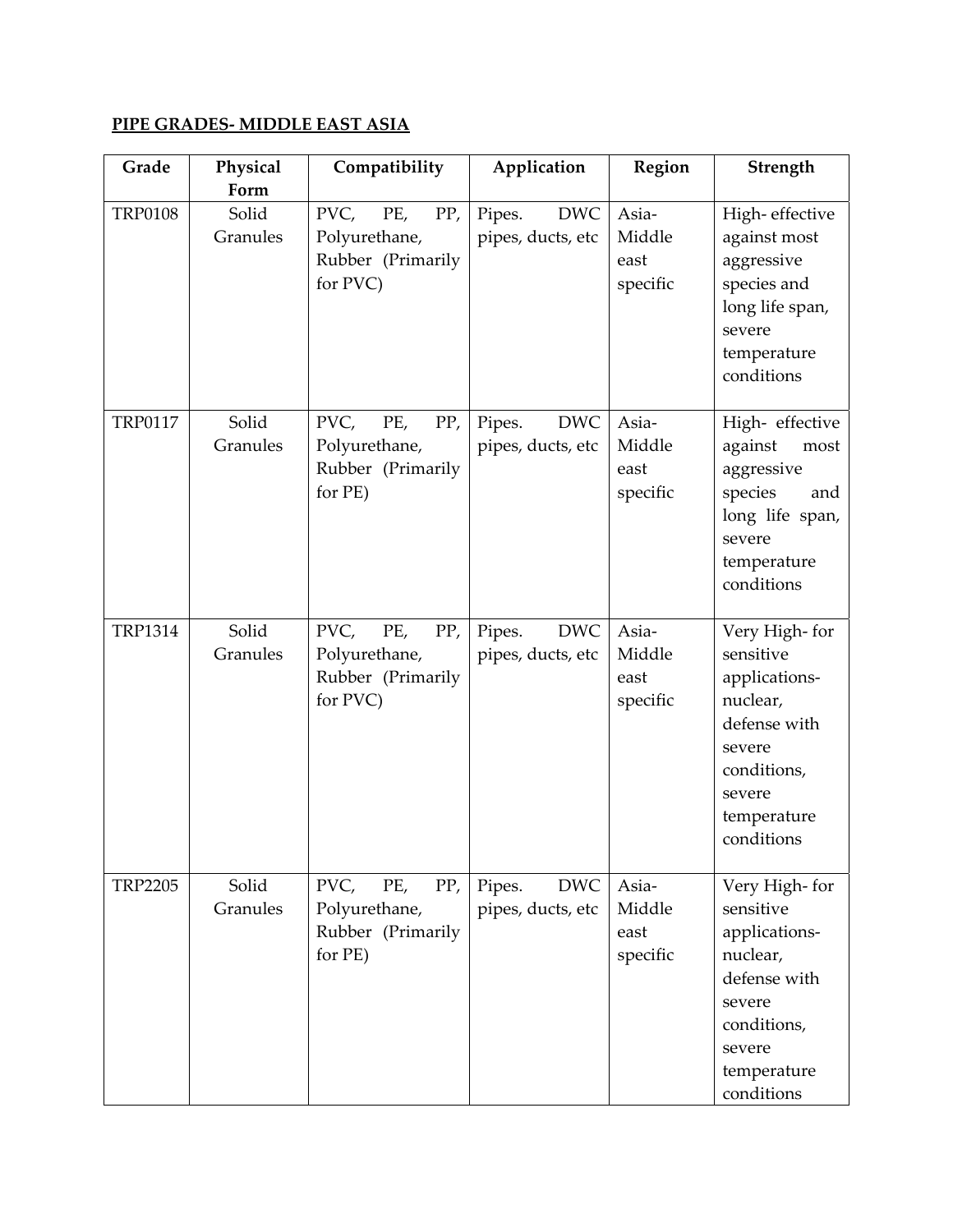### **PIPE GRADES‐ MIDDLE EAST ASIA**

| Grade          | Physical<br>Form  | Compatibility                                                        | Application                               | Region                              | Strength                                                                                                                                |
|----------------|-------------------|----------------------------------------------------------------------|-------------------------------------------|-------------------------------------|-----------------------------------------------------------------------------------------------------------------------------------------|
| <b>TRP0108</b> | Solid<br>Granules | PVC,<br>PE,<br>PP,<br>Polyurethane,<br>Rubber (Primarily<br>for PVC) | <b>DWC</b><br>Pipes.<br>pipes, ducts, etc | Asia-<br>Middle<br>east<br>specific | High-effective<br>against most<br>aggressive<br>species and<br>long life span,<br>severe<br>temperature<br>conditions                   |
| <b>TRP0117</b> | Solid<br>Granules | PVC,<br>PE,<br>PP,<br>Polyurethane,<br>Rubber (Primarily<br>for PE)  | Pipes.<br><b>DWC</b><br>pipes, ducts, etc | Asia-<br>Middle<br>east<br>specific | High-effective<br>against<br>most<br>aggressive<br>species<br>and<br>long life span,<br>severe<br>temperature<br>conditions             |
| <b>TRP1314</b> | Solid<br>Granules | PVC,<br>PE,<br>PP,<br>Polyurethane,<br>Rubber (Primarily<br>for PVC) | <b>DWC</b><br>Pipes.<br>pipes, ducts, etc | Asia-<br>Middle<br>east<br>specific | Very High-for<br>sensitive<br>applications-<br>nuclear,<br>defense with<br>severe<br>conditions,<br>severe<br>temperature<br>conditions |
| <b>TRP2205</b> | Solid<br>Granules | PVC,<br>PE,<br>PP,<br>Polyurethane,<br>Rubber (Primarily<br>for PE)  | <b>DWC</b><br>Pipes.<br>pipes, ducts, etc | Asia-<br>Middle<br>east<br>specific | Very High-for<br>sensitive<br>applications-<br>nuclear,<br>defense with<br>severe<br>conditions,<br>severe<br>temperature<br>conditions |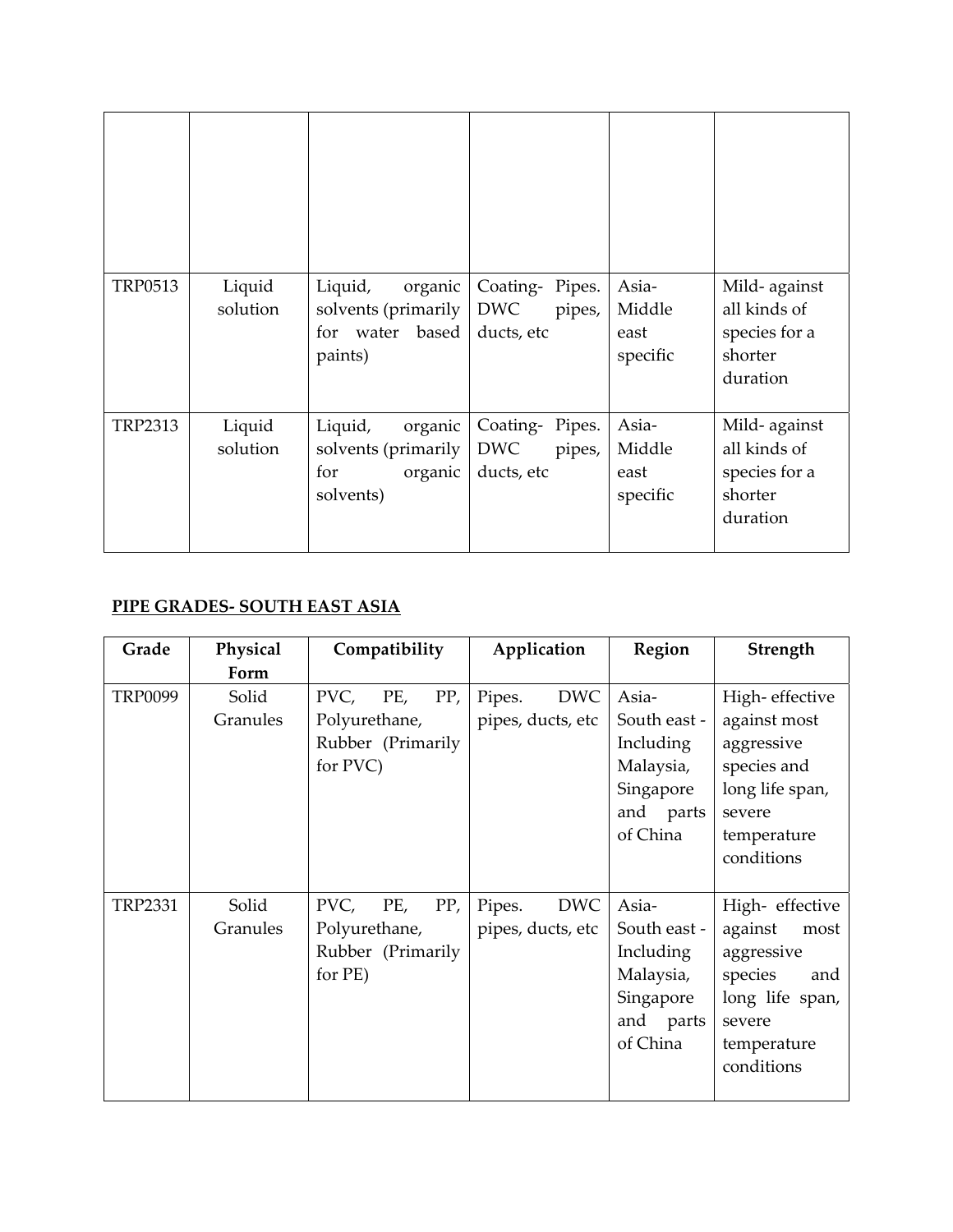| <b>TRP0513</b> | Liquid<br>solution | Liquid,<br>organic<br>solvents (primarily<br>based<br>for water<br>paints) | Coating-Pipes.<br><b>DWC</b><br>pipes,<br>ducts, etc | Asia-<br>Middle<br>east<br>specific | Mild-against<br>all kinds of<br>species for a<br>shorter<br>duration |
|----------------|--------------------|----------------------------------------------------------------------------|------------------------------------------------------|-------------------------------------|----------------------------------------------------------------------|
| <b>TRP2313</b> | Liquid<br>solution | Liquid,<br>organic<br>solvents (primarily<br>organic<br>for<br>solvents)   | Coating-Pipes.<br><b>DWC</b><br>pipes,<br>ducts, etc | Asia-<br>Middle<br>east<br>specific | Mild-against<br>all kinds of<br>species for a<br>shorter<br>duration |

#### **PIPE GRADES‐ SOUTH EAST ASIA**

| Grade          | Physical<br>Form  | Compatibility                                                        | Application                               | Region                                                                                | Strength                                                                                                                     |
|----------------|-------------------|----------------------------------------------------------------------|-------------------------------------------|---------------------------------------------------------------------------------------|------------------------------------------------------------------------------------------------------------------------------|
| <b>TRP0099</b> | Solid<br>Granules | PVC,<br>PP,<br>PE,<br>Polyurethane,<br>Rubber (Primarily<br>for PVC) | <b>DWC</b><br>Pipes.<br>pipes, ducts, etc | Asia-<br>South east -<br>Including<br>Malaysia,<br>Singapore<br>and parts<br>of China | High-effective<br>against most<br>aggressive<br>species and<br>long life span,<br>severe<br>temperature<br>conditions        |
| <b>TRP2331</b> | Solid<br>Granules | PVC,<br>PE,<br>PP,<br>Polyurethane,<br>Rubber (Primarily<br>for PE)  | <b>DWC</b><br>Pipes.<br>pipes, ducts, etc | Asia-<br>South east -<br>Including<br>Malaysia,<br>Singapore<br>and parts<br>of China | High- effective<br>against<br>most<br>aggressive<br>species<br>and<br>long life span,<br>severe<br>temperature<br>conditions |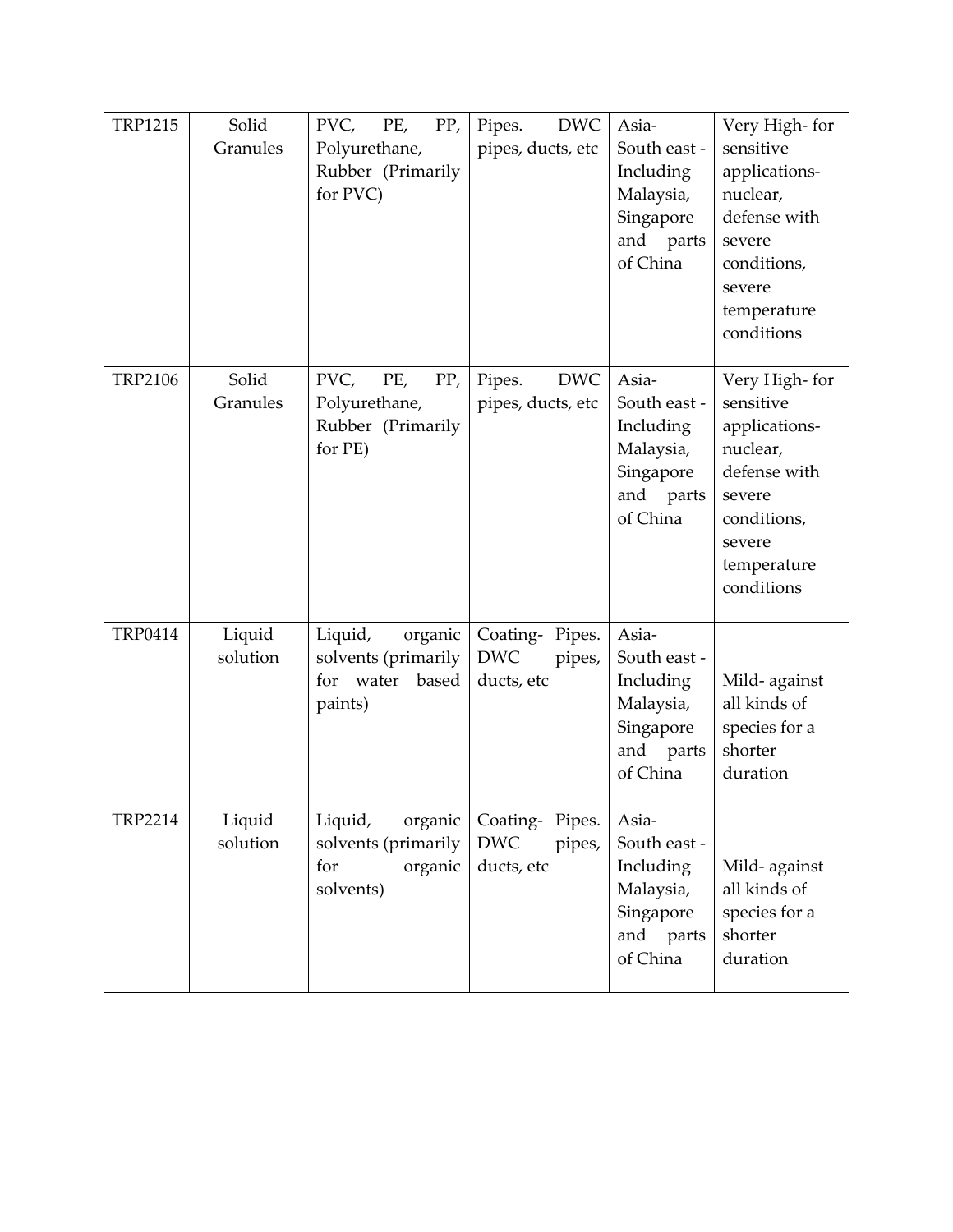| <b>TRP1215</b> | Solid<br>Granules  | PVC<br>PE,<br>PP,<br>Polyurethane,<br>Rubber (Primarily<br>for PVC)      | <b>DWC</b><br>Pipes.<br>pipes, ducts, etc            | Asia-<br>South east -<br>Including<br>Malaysia,<br>Singapore<br>and parts<br>of China | Very High-for<br>sensitive<br>applications-<br>nuclear,<br>defense with<br>severe<br>conditions,<br>severe<br>temperature<br>conditions |
|----------------|--------------------|--------------------------------------------------------------------------|------------------------------------------------------|---------------------------------------------------------------------------------------|-----------------------------------------------------------------------------------------------------------------------------------------|
| <b>TRP2106</b> | Solid<br>Granules  | PVC,<br>PE,<br>PP,<br>Polyurethane,<br>Rubber (Primarily<br>for PE)      | <b>DWC</b><br>Pipes.<br>pipes, ducts, etc            | Asia-<br>South east -<br>Including<br>Malaysia,<br>Singapore<br>and parts<br>of China | Very High-for<br>sensitive<br>applications-<br>nuclear,<br>defense with<br>severe<br>conditions,<br>severe<br>temperature<br>conditions |
| <b>TRP0414</b> | Liquid<br>solution | Liquid,<br>organic<br>solvents (primarily<br>for water based<br>paints)  | Coating-Pipes.<br><b>DWC</b><br>pipes,<br>ducts, etc | Asia-<br>South east -<br>Including<br>Malaysia,<br>Singapore<br>and parts<br>of China | Mild-against<br>all kinds of<br>species for a<br>shorter<br>duration                                                                    |
| <b>TRP2214</b> | Liquid<br>solution | Liquid,<br>organic<br>solvents (primarily<br>organic<br>for<br>solvents) | Coating-Pipes.<br><b>DWC</b><br>pipes,<br>ducts, etc | Asia-<br>South east -<br>Including<br>Malaysia,<br>Singapore<br>and parts<br>of China | Mild-against<br>all kinds of<br>species for a<br>shorter<br>duration                                                                    |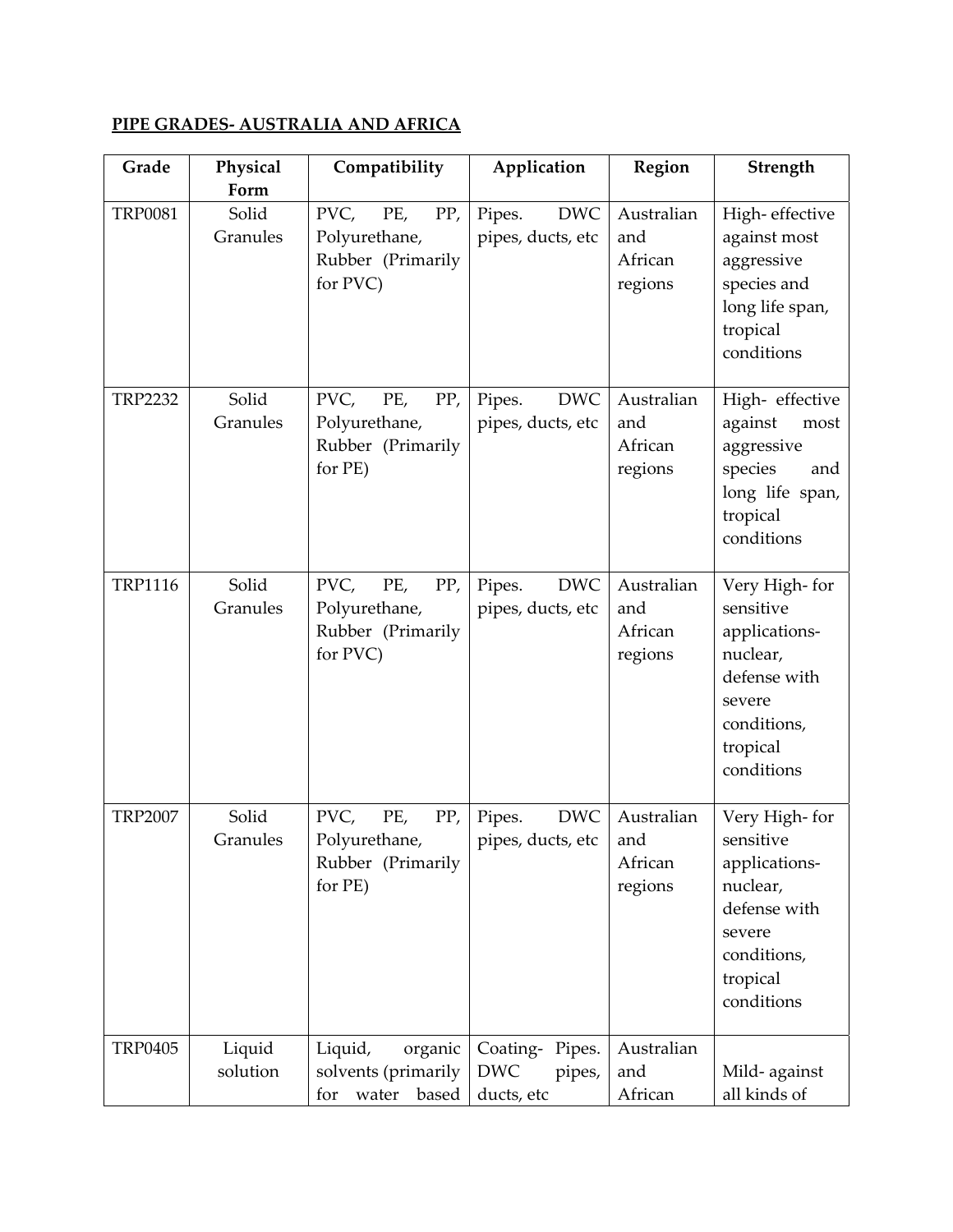## **PIPE GRADES‐ AUSTRALIA AND AFRICA**

| Grade          | Physical<br>Form   | Compatibility                                                        | Application                                          | Region                                  | Strength                                                                                                                   |
|----------------|--------------------|----------------------------------------------------------------------|------------------------------------------------------|-----------------------------------------|----------------------------------------------------------------------------------------------------------------------------|
| <b>TRP0081</b> | Solid<br>Granules  | PVC,<br>PP,<br>PE,<br>Polyurethane,<br>Rubber (Primarily<br>for PVC) | <b>DWC</b><br>Pipes.<br>pipes, ducts, etc            | Australian<br>and<br>African<br>regions | High-effective<br>against most<br>aggressive<br>species and<br>long life span,<br>tropical<br>conditions                   |
| <b>TRP2232</b> | Solid<br>Granules  | PVC,<br>PP,<br>PE,<br>Polyurethane,<br>Rubber (Primarily<br>for PE)  | <b>DWC</b><br>Pipes.<br>pipes, ducts, etc            | Australian<br>and<br>African<br>regions | High- effective<br>against<br>most<br>aggressive<br>species<br>and<br>long life span,<br>tropical<br>conditions            |
| <b>TRP1116</b> | Solid<br>Granules  | PVC,<br>PE,<br>PP,<br>Polyurethane,<br>Rubber (Primarily<br>for PVC) | <b>DWC</b><br>Pipes.<br>pipes, ducts, etc            | Australian<br>and<br>African<br>regions | Very High-for<br>sensitive<br>applications-<br>nuclear,<br>defense with<br>severe<br>conditions,<br>tropical<br>conditions |
| <b>TRP2007</b> | Solid<br>Granules  | PVC,<br>PE,<br>PP,<br>Polyurethane,<br>Rubber (Primarily<br>for PE)  | <b>DWC</b><br>Pipes.<br>pipes, ducts, etc            | Australian<br>and<br>African<br>regions | Very High-for<br>sensitive<br>applications-<br>nuclear,<br>defense with<br>severe<br>conditions,<br>tropical<br>conditions |
| <b>TRP0405</b> | Liquid<br>solution | Liquid,<br>organic<br>solvents (primarily<br>based<br>water<br>for   | Coating-Pipes.<br><b>DWC</b><br>pipes,<br>ducts, etc | Australian<br>and<br>African            | Mild-against<br>all kinds of                                                                                               |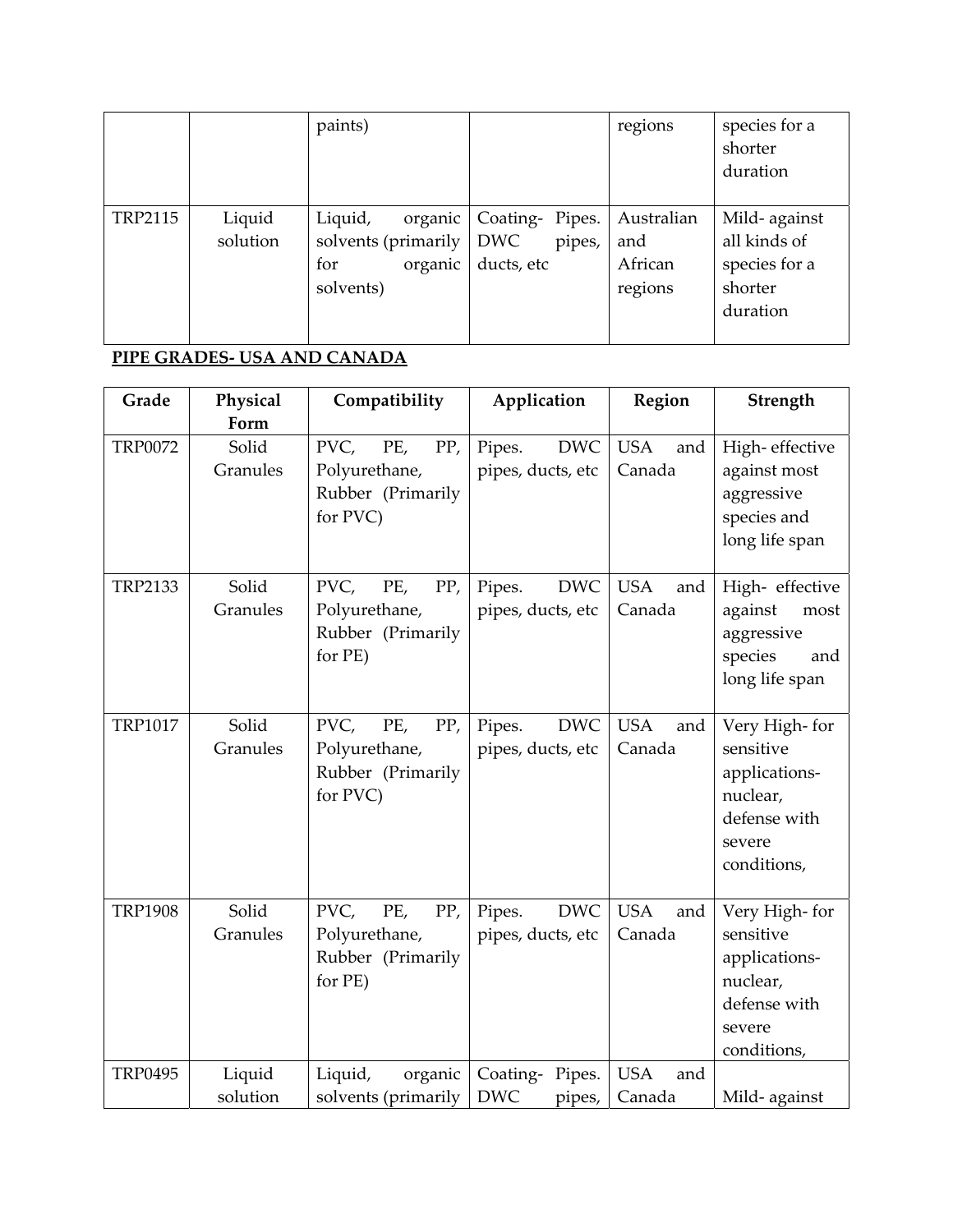|         |                    | paints)                                                                  |                                                      | regions                                 | species for a<br>shorter<br>duration                                 |
|---------|--------------------|--------------------------------------------------------------------------|------------------------------------------------------|-----------------------------------------|----------------------------------------------------------------------|
| TRP2115 | Liquid<br>solution | Liquid,<br>organic<br>solvents (primarily<br>organic<br>for<br>solvents) | Coating-Pipes.<br><b>DWC</b><br>pipes,<br>ducts, etc | Australian<br>and<br>African<br>regions | Mild-against<br>all kinds of<br>species for a<br>shorter<br>duration |

# **PIPE GRADES‐ USA AND CANADA**

| Grade          | Physical           | Compatibility                                                        | Application                               | Region                      | Strength                                                                                         |
|----------------|--------------------|----------------------------------------------------------------------|-------------------------------------------|-----------------------------|--------------------------------------------------------------------------------------------------|
|                | Form               |                                                                      |                                           |                             |                                                                                                  |
| <b>TRP0072</b> | Solid<br>Granules  | PVC,<br>PE,<br>PP,<br>Polyurethane,<br>Rubber (Primarily<br>for PVC) | <b>DWC</b><br>Pipes.<br>pipes, ducts, etc | <b>USA</b><br>and<br>Canada | High-effective<br>against most<br>aggressive<br>species and<br>long life span                    |
| <b>TRP2133</b> | Solid<br>Granules  | PP,<br>PVC,<br>PE,<br>Polyurethane,<br>Rubber (Primarily<br>for PE)  | <b>DWC</b><br>Pipes.<br>pipes, ducts, etc | <b>USA</b><br>and<br>Canada | High- effective<br>against<br>most<br>aggressive<br>species<br>and<br>long life span             |
| <b>TRP1017</b> | Solid<br>Granules  | PVC,<br>PP,<br>PE,<br>Polyurethane,<br>Rubber (Primarily<br>for PVC) | Pipes.<br><b>DWC</b><br>pipes, ducts, etc | <b>USA</b><br>and<br>Canada | Very High-for<br>sensitive<br>applications-<br>nuclear,<br>defense with<br>severe<br>conditions, |
| <b>TRP1908</b> | Solid<br>Granules  | PVC,<br>PE,<br>PP,<br>Polyurethane,<br>Rubber (Primarily<br>for PE)  | <b>DWC</b><br>Pipes.<br>pipes, ducts, etc | <b>USA</b><br>and<br>Canada | Very High-for<br>sensitive<br>applications-<br>nuclear,<br>defense with<br>severe<br>conditions, |
| <b>TRP0495</b> | Liquid<br>solution | Liquid,<br>organic<br>solvents (primarily                            | Coating-Pipes.<br><b>DWC</b><br>pipes,    | <b>USA</b><br>and<br>Canada | Mild-against                                                                                     |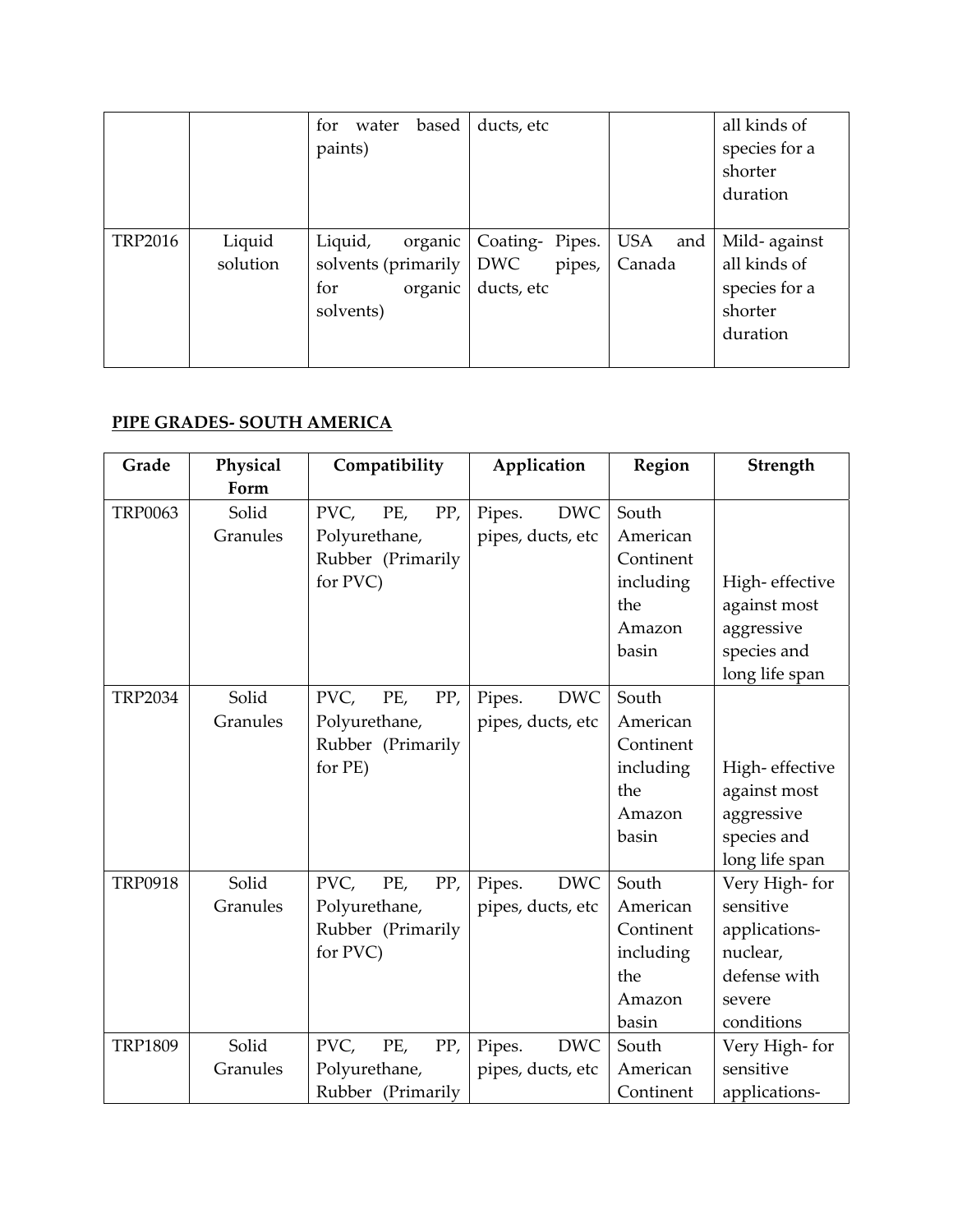|                |                    | based<br>water<br>for<br>paints)                                         | ducts, etc                                                      |        | all kinds of<br>species for a<br>shorter<br>duration                  |
|----------------|--------------------|--------------------------------------------------------------------------|-----------------------------------------------------------------|--------|-----------------------------------------------------------------------|
| <b>TRP2016</b> | Liquid<br>solution | Liquid,<br>organic<br>solvents (primarily<br>organic<br>for<br>solvents) | Coating- Pipes.   USA and<br><b>DWC</b><br>pipes,<br>ducts, etc | Canada | Mild- against<br>all kinds of<br>species for a<br>shorter<br>duration |

### **PIPE GRADES‐ SOUTH AMERICA**

| Grade          | Physical | Compatibility      | Application          | Region    | Strength       |
|----------------|----------|--------------------|----------------------|-----------|----------------|
|                | Form     |                    |                      |           |                |
| <b>TRP0063</b> | Solid    | PVC,<br>PP,<br>PE, | <b>DWC</b><br>Pipes. | South     |                |
|                | Granules | Polyurethane,      | pipes, ducts, etc    | American  |                |
|                |          | Rubber (Primarily  |                      | Continent |                |
|                |          | for PVC)           |                      | including | High-effective |
|                |          |                    |                      | the       | against most   |
|                |          |                    |                      | Amazon    | aggressive     |
|                |          |                    |                      | basin     | species and    |
|                |          |                    |                      |           | long life span |
| <b>TRP2034</b> | Solid    | PP,<br>PVC,<br>PE, | <b>DWC</b><br>Pipes. | South     |                |
|                | Granules | Polyurethane,      | pipes, ducts, etc    | American  |                |
|                |          | Rubber (Primarily  |                      | Continent |                |
|                |          | for PE)            |                      | including | High-effective |
|                |          |                    |                      | the       | against most   |
|                |          |                    |                      | Amazon    | aggressive     |
|                |          |                    |                      | basin     | species and    |
|                |          |                    |                      |           | long life span |
| <b>TRP0918</b> | Solid    | PVC,<br>PP,<br>PE, | <b>DWC</b><br>Pipes. | South     | Very High-for  |
|                | Granules | Polyurethane,      | pipes, ducts, etc    | American  | sensitive      |
|                |          | Rubber (Primarily  |                      | Continent | applications-  |
|                |          | for PVC)           |                      | including | nuclear,       |
|                |          |                    |                      | the       | defense with   |
|                |          |                    |                      | Amazon    | severe         |
|                |          |                    |                      | basin     | conditions     |
| <b>TRP1809</b> | Solid    | PVC,<br>PP,<br>PE, | Pipes.<br><b>DWC</b> | South     | Very High-for  |
|                | Granules | Polyurethane,      | pipes, ducts, etc    | American  | sensitive      |
|                |          | Rubber (Primarily  |                      | Continent | applications-  |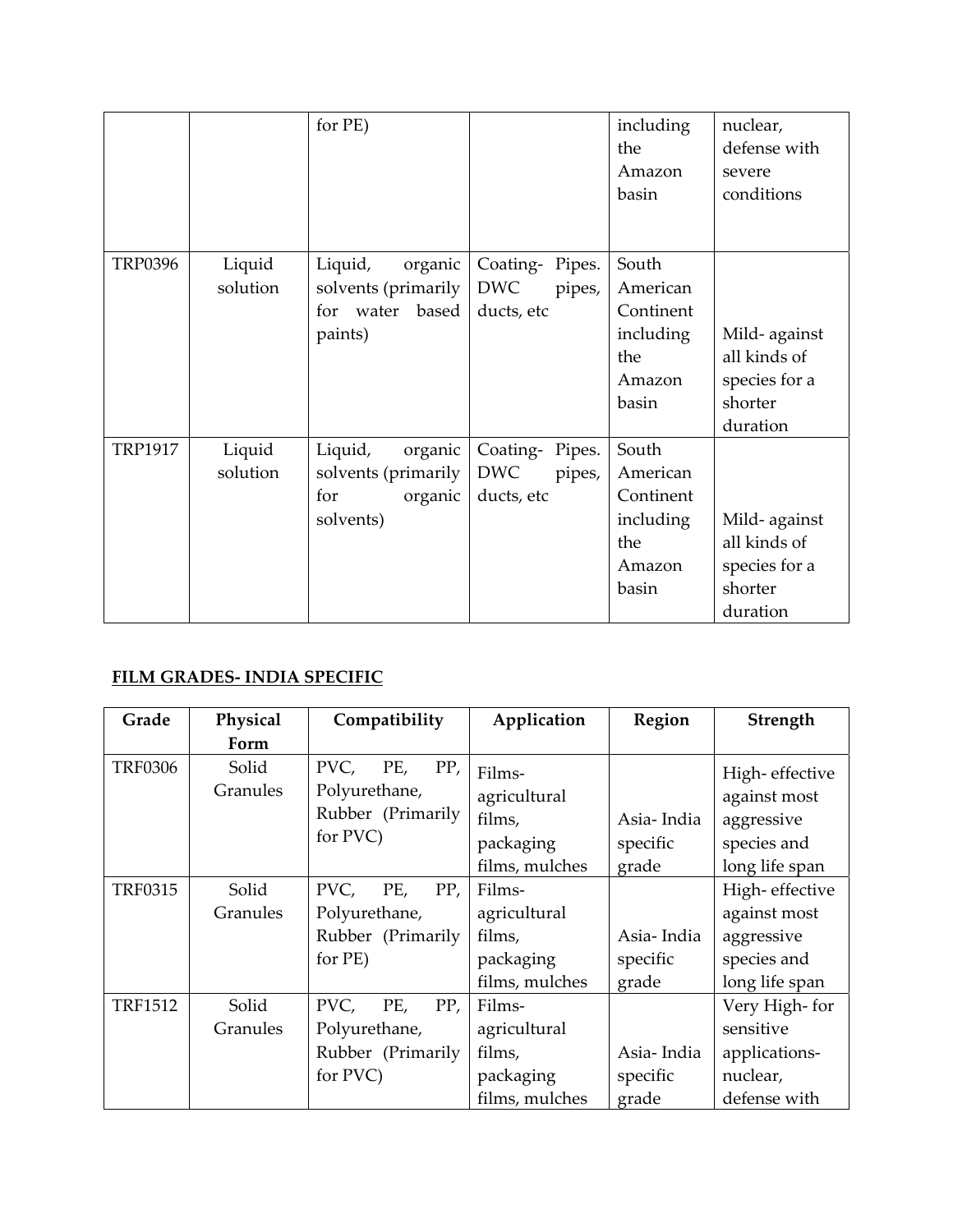|                |                    | for PE)                                                                  |                                                      | including<br>the<br>Amazon<br>basin                                   | nuclear,<br>defense with<br>severe<br>conditions                     |
|----------------|--------------------|--------------------------------------------------------------------------|------------------------------------------------------|-----------------------------------------------------------------------|----------------------------------------------------------------------|
| <b>TRP0396</b> | Liquid<br>solution | Liquid,<br>organic<br>solvents (primarily<br>for water based<br>paints)  | Coating-Pipes.<br><b>DWC</b><br>pipes,<br>ducts, etc | South<br>American<br>Continent<br>including<br>the<br>Amazon<br>basin | Mild-against<br>all kinds of<br>species for a<br>shorter<br>duration |
| <b>TRP1917</b> | Liquid<br>solution | Liquid,<br>organic<br>solvents (primarily<br>organic<br>for<br>solvents) | Coating-Pipes.<br>DWC<br>pipes,<br>ducts, etc        | South<br>American<br>Continent<br>including<br>the<br>Amazon<br>basin | Mild-against<br>all kinds of<br>species for a<br>shorter<br>duration |

## **FILM GRADES‐ INDIA SPECIFIC**

| Grade          | Physical          | Compatibility                                                        | Application                                                     | Region                          | Strength                                                                      |
|----------------|-------------------|----------------------------------------------------------------------|-----------------------------------------------------------------|---------------------------------|-------------------------------------------------------------------------------|
|                | Form              |                                                                      |                                                                 |                                 |                                                                               |
| <b>TRF0306</b> | Solid<br>Granules | PVC,<br>PP,<br>PE,<br>Polyurethane,<br>Rubber (Primarily<br>for PVC) | Films-<br>agricultural<br>films,<br>packaging<br>films, mulches | Asia-India<br>specific<br>grade | High-effective<br>against most<br>aggressive<br>species and<br>long life span |
| <b>TRF0315</b> | Solid<br>Granules | PVC,<br>PP,<br>PE,<br>Polyurethane,<br>Rubber (Primarily<br>for PE)  | Films-<br>agricultural<br>films,<br>packaging<br>films, mulches | Asia-India<br>specific<br>grade | High-effective<br>against most<br>aggressive<br>species and<br>long life span |
| <b>TRF1512</b> | Solid<br>Granules | PVC,<br>PE,<br>PP,<br>Polyurethane,<br>Rubber (Primarily<br>for PVC) | Films-<br>agricultural<br>films,<br>packaging<br>films, mulches | Asia-India<br>specific<br>grade | Very High-for<br>sensitive<br>applications-<br>nuclear,<br>defense with       |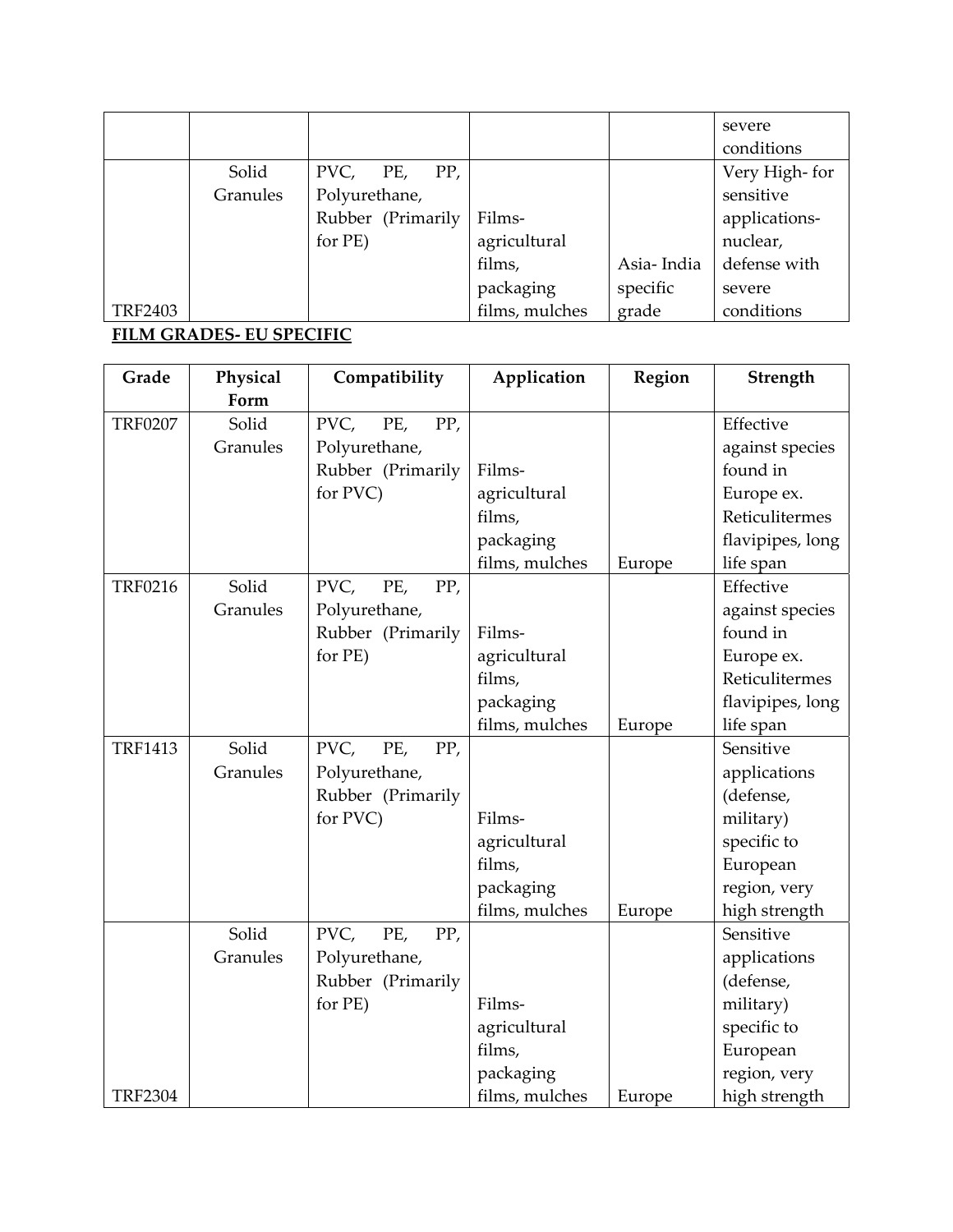|                |          |                   |                |            | severe         |
|----------------|----------|-------------------|----------------|------------|----------------|
|                |          |                   |                |            | conditions     |
|                | Solid    | PP,<br>PVC, PE,   |                |            | Very High- for |
|                | Granules | Polyurethane,     |                |            | sensitive      |
|                |          | Rubber (Primarily | Films-         |            | applications-  |
|                |          | for PE)           | agricultural   |            | nuclear,       |
|                |          |                   | films,         | Asia-India | defense with   |
|                |          |                   | packaging      | specific   | severe         |
| <b>TRF2403</b> |          |                   | films, mulches | grade      | conditions     |

#### **FILM GRADES‐ EU SPECIFIC**

| Grade          | Physical | Compatibility      | Application    | Region | Strength         |
|----------------|----------|--------------------|----------------|--------|------------------|
|                | Form     |                    |                |        |                  |
| <b>TRF0207</b> | Solid    | PVC,<br>PP,<br>PE, |                |        | Effective        |
|                | Granules | Polyurethane,      |                |        | against species  |
|                |          | Rubber (Primarily  | Films-         |        | found in         |
|                |          | for PVC)           | agricultural   |        | Europe ex.       |
|                |          |                    | films,         |        | Reticulitermes   |
|                |          |                    | packaging      |        | flavipipes, long |
|                |          |                    | films, mulches | Europe | life span        |
| <b>TRF0216</b> | Solid    | PVC,<br>PE,<br>PP, |                |        | Effective        |
|                | Granules | Polyurethane,      |                |        | against species  |
|                |          | Rubber (Primarily  | Films-         |        | found in         |
|                |          | for PE)            | agricultural   |        | Europe ex.       |
|                |          |                    | films,         |        | Reticulitermes   |
|                |          |                    | packaging      |        | flavipipes, long |
|                |          |                    | films, mulches | Europe | life span        |
| <b>TRF1413</b> | Solid    | PVC,<br>PE,<br>PP, |                |        | Sensitive        |
|                | Granules | Polyurethane,      |                |        | applications     |
|                |          | Rubber (Primarily  |                |        | (defense,        |
|                |          | for PVC)           | Films-         |        | military)        |
|                |          |                    | agricultural   |        | specific to      |
|                |          |                    | films,         |        | European         |
|                |          |                    | packaging      |        | region, very     |
|                |          |                    | films, mulches | Europe | high strength    |
|                | Solid    | PVC,<br>PE,<br>PP, |                |        | Sensitive        |
|                | Granules | Polyurethane,      |                |        | applications     |
|                |          | Rubber (Primarily  |                |        | (defense,        |
|                |          | for PE)            | Films-         |        | military)        |
|                |          |                    | agricultural   |        | specific to      |
|                |          |                    | films,         |        | European         |
|                |          |                    | packaging      |        | region, very     |
| <b>TRF2304</b> |          |                    | films, mulches | Europe | high strength    |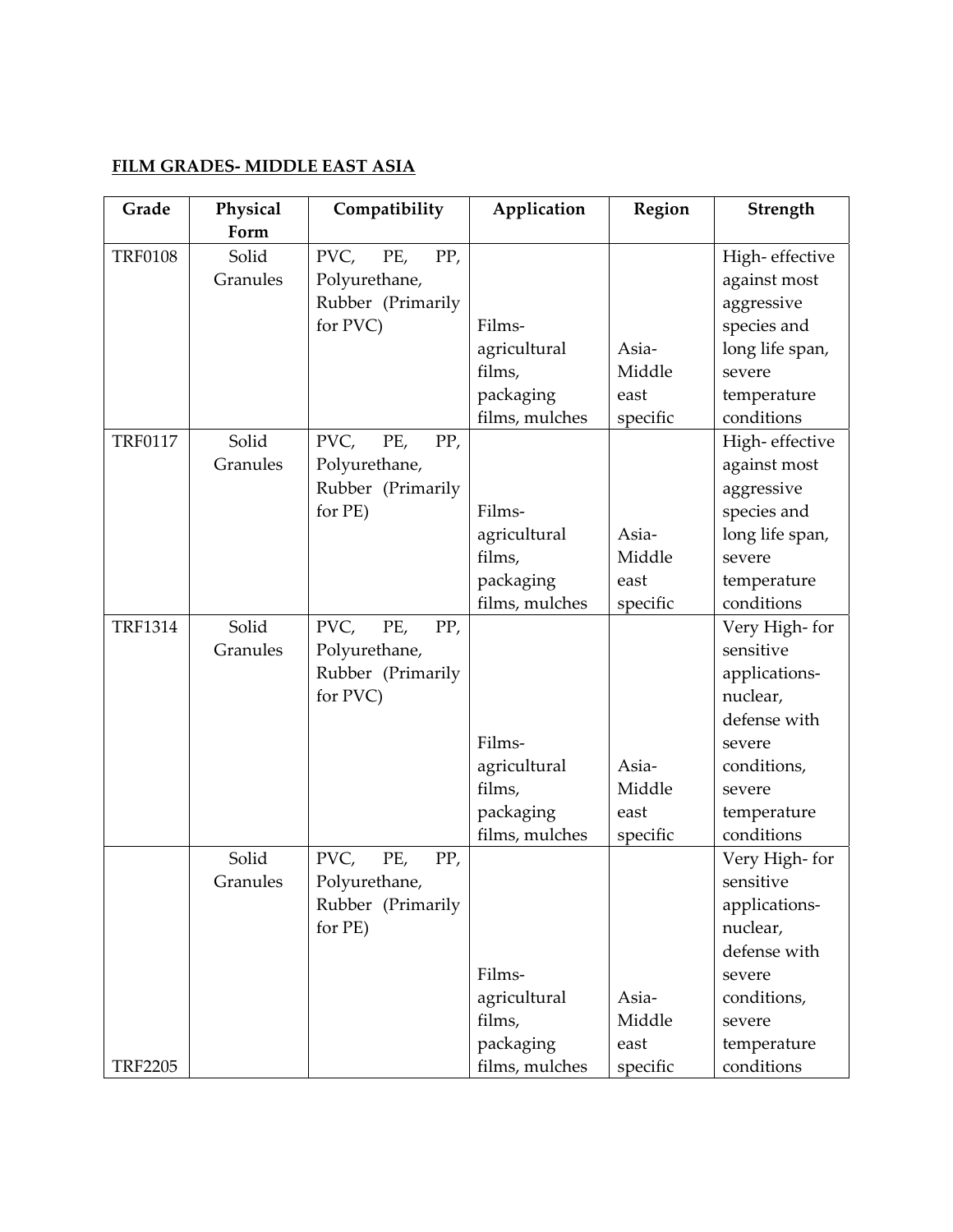#### **FILM GRADES‐ MIDDLE EAST ASIA**

| Grade          | Physical | Compatibility      | Application    | Region   | Strength        |
|----------------|----------|--------------------|----------------|----------|-----------------|
|                | Form     |                    |                |          |                 |
| <b>TRF0108</b> | Solid    | PVC,<br>PE,<br>PP, |                |          | High-effective  |
|                | Granules | Polyurethane,      |                |          | against most    |
|                |          | Rubber (Primarily  |                |          | aggressive      |
|                |          | for PVC)           | Films-         |          | species and     |
|                |          |                    | agricultural   | Asia-    | long life span, |
|                |          |                    | films,         | Middle   | severe          |
|                |          |                    | packaging      | east     | temperature     |
|                |          |                    | films, mulches | specific | conditions      |
| <b>TRF0117</b> | Solid    | PVC,<br>PP,<br>PE, |                |          | High-effective  |
|                | Granules | Polyurethane,      |                |          | against most    |
|                |          | Rubber (Primarily  |                |          | aggressive      |
|                |          | for PE)            | Films-         |          | species and     |
|                |          |                    | agricultural   | Asia-    | long life span, |
|                |          |                    | films,         | Middle   | severe          |
|                |          |                    | packaging      | east     | temperature     |
|                |          |                    | films, mulches | specific | conditions      |
| <b>TRF1314</b> | Solid    | PVC,<br>PE,<br>PP, |                |          | Very High-for   |
|                | Granules | Polyurethane,      |                |          | sensitive       |
|                |          | Rubber (Primarily  |                |          | applications-   |
|                |          | for PVC)           |                |          | nuclear,        |
|                |          |                    |                |          | defense with    |
|                |          |                    | Films-         |          | severe          |
|                |          |                    | agricultural   | Asia-    | conditions,     |
|                |          |                    | films,         | Middle   | severe          |
|                |          |                    | packaging      | east     | temperature     |
|                |          |                    | films, mulches | specific | conditions      |
|                | Solid    | PP,<br>PVC,<br>PE, |                |          | Very High-for   |
|                | Granules | Polyurethane,      |                |          | sensitive       |
|                |          | Rubber (Primarily  |                |          | applications-   |
|                |          | for PE)            |                |          | nuclear,        |
|                |          |                    |                |          | defense with    |
|                |          |                    | Films-         |          | severe          |
|                |          |                    | agricultural   | Asia-    | conditions,     |
|                |          |                    | films,         | Middle   | severe          |
|                |          |                    | packaging      | east     | temperature     |
| <b>TRF2205</b> |          |                    | films, mulches | specific | conditions      |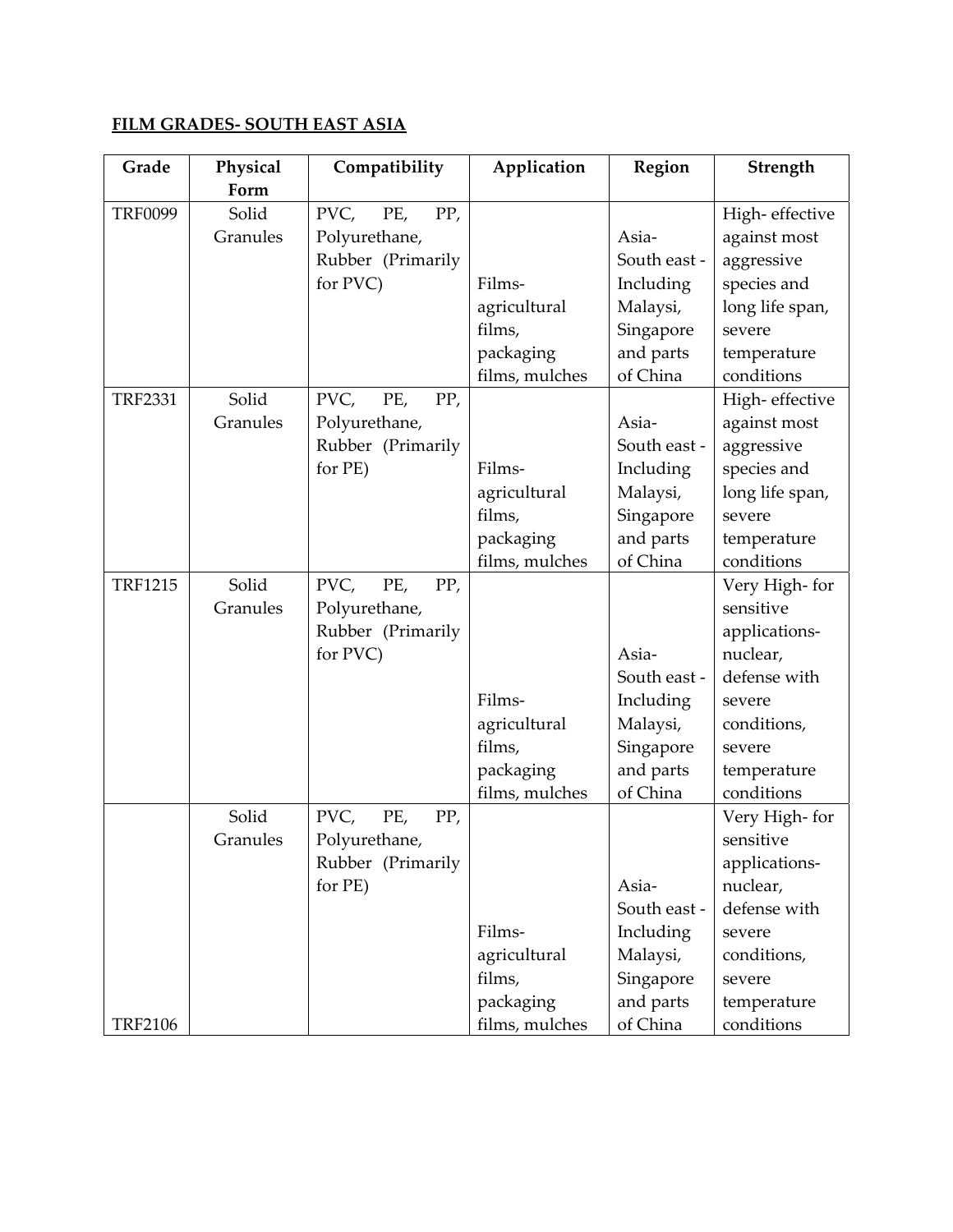## **FILM GRADES‐ SOUTH EAST ASIA**

| Grade          | Physical | Compatibility      | Application    | Region       | Strength        |
|----------------|----------|--------------------|----------------|--------------|-----------------|
|                | Form     |                    |                |              |                 |
| <b>TRF0099</b> | Solid    | PP,<br>PVC,<br>PE, |                |              | High-effective  |
|                | Granules | Polyurethane,      |                | Asia-        | against most    |
|                |          | Rubber (Primarily  |                | South east - | aggressive      |
|                |          | for PVC)           | Films-         | Including    | species and     |
|                |          |                    | agricultural   | Malaysi,     | long life span, |
|                |          |                    | films,         | Singapore    | severe          |
|                |          |                    | packaging      | and parts    | temperature     |
|                |          |                    | films, mulches | of China     | conditions      |
| <b>TRF2331</b> | Solid    | PVC,<br>PE,<br>PP, |                |              | High-effective  |
|                | Granules | Polyurethane,      |                | Asia-        | against most    |
|                |          | Rubber (Primarily  |                | South east - | aggressive      |
|                |          | for PE)            | Films-         | Including    | species and     |
|                |          |                    | agricultural   | Malaysi,     | long life span, |
|                |          |                    | films,         | Singapore    | severe          |
|                |          |                    | packaging      | and parts    | temperature     |
|                |          |                    | films, mulches | of China     | conditions      |
| <b>TRF1215</b> | Solid    | PVC,<br>PE,<br>PP, |                |              | Very High-for   |
|                | Granules | Polyurethane,      |                |              | sensitive       |
|                |          | Rubber (Primarily  |                |              | applications-   |
|                |          | for PVC)           |                | Asia-        | nuclear,        |
|                |          |                    |                | South east - | defense with    |
|                |          |                    | Films-         | Including    | severe          |
|                |          |                    | agricultural   | Malaysi,     | conditions,     |
|                |          |                    | films,         | Singapore    | severe          |
|                |          |                    | packaging      | and parts    | temperature     |
|                |          |                    | films, mulches | of China     | conditions      |
|                | Solid    | PVC,<br>PE,<br>PP, |                |              | Very High-for   |
|                | Granules | Polyurethane,      |                |              | sensitive       |
|                |          | Rubber (Primarily  |                |              | applications-   |
|                |          | for PE)            |                | Asia-        | nuclear,        |
|                |          |                    |                | South east - | defense with    |
|                |          |                    | Films-         | Including    | severe          |
|                |          |                    | agricultural   | Malaysi,     | conditions,     |
|                |          |                    | films,         | Singapore    | severe          |
|                |          |                    | packaging      | and parts    | temperature     |
| <b>TRF2106</b> |          |                    | films, mulches | of China     | conditions      |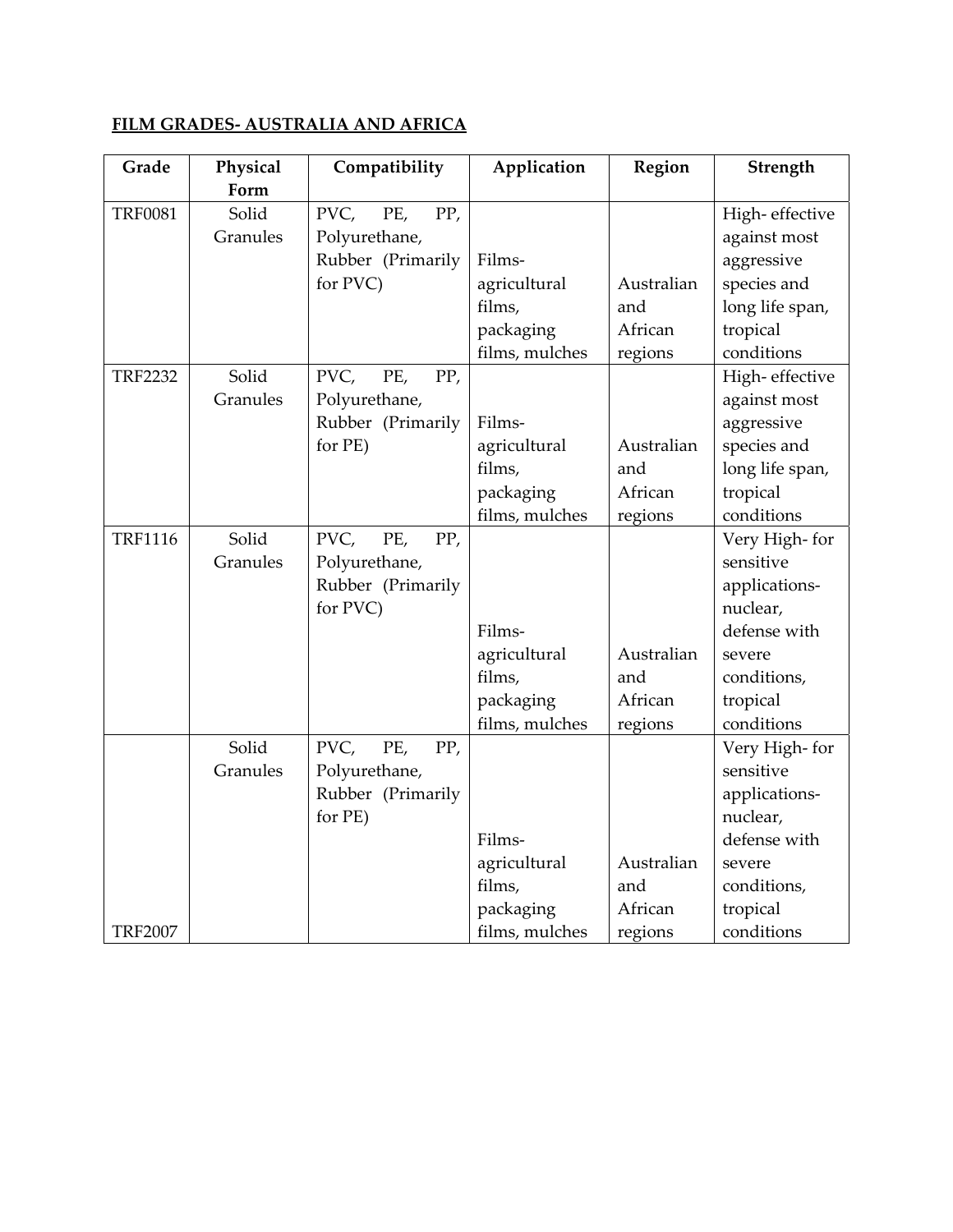## **FILM GRADES‐ AUSTRALIA AND AFRICA**

| Grade          | Physical | Compatibility      | Application    | Region     | Strength        |
|----------------|----------|--------------------|----------------|------------|-----------------|
|                | Form     |                    |                |            |                 |
| <b>TRF0081</b> | Solid    | PVC,<br>PE,<br>PP, |                |            | High-effective  |
|                | Granules | Polyurethane,      |                |            | against most    |
|                |          | Rubber (Primarily  | Films-         |            | aggressive      |
|                |          | for PVC)           | agricultural   | Australian | species and     |
|                |          |                    | films,         | and        | long life span, |
|                |          |                    | packaging      | African    | tropical        |
|                |          |                    | films, mulches | regions    | conditions      |
| <b>TRF2232</b> | Solid    | PVC,<br>PE,<br>PP, |                |            | High-effective  |
|                | Granules | Polyurethane,      |                |            | against most    |
|                |          | Rubber (Primarily  | Films-         |            | aggressive      |
|                |          | for PE)            | agricultural   | Australian | species and     |
|                |          |                    | films,         | and        | long life span, |
|                |          |                    | packaging      | African    | tropical        |
|                |          |                    | films, mulches | regions    | conditions      |
| <b>TRF1116</b> | Solid    | PVC,<br>PE,<br>PP, |                |            | Very High-for   |
|                | Granules | Polyurethane,      |                |            | sensitive       |
|                |          | Rubber (Primarily  |                |            | applications-   |
|                |          | for PVC)           |                |            | nuclear,        |
|                |          |                    | Films-         |            | defense with    |
|                |          |                    | agricultural   | Australian | severe          |
|                |          |                    | films,         | and        | conditions,     |
|                |          |                    | packaging      | African    | tropical        |
|                |          |                    | films, mulches | regions    | conditions      |
|                | Solid    | PVC,<br>PE,<br>PP, |                |            | Very High-for   |
|                | Granules | Polyurethane,      |                |            | sensitive       |
|                |          | Rubber (Primarily  |                |            | applications-   |
|                |          | for PE)            |                |            | nuclear,        |
|                |          |                    | Films-         |            | defense with    |
|                |          |                    | agricultural   | Australian | severe          |
|                |          |                    | films,         | and        | conditions,     |
|                |          |                    | packaging      | African    | tropical        |
| <b>TRF2007</b> |          |                    | films, mulches | regions    | conditions      |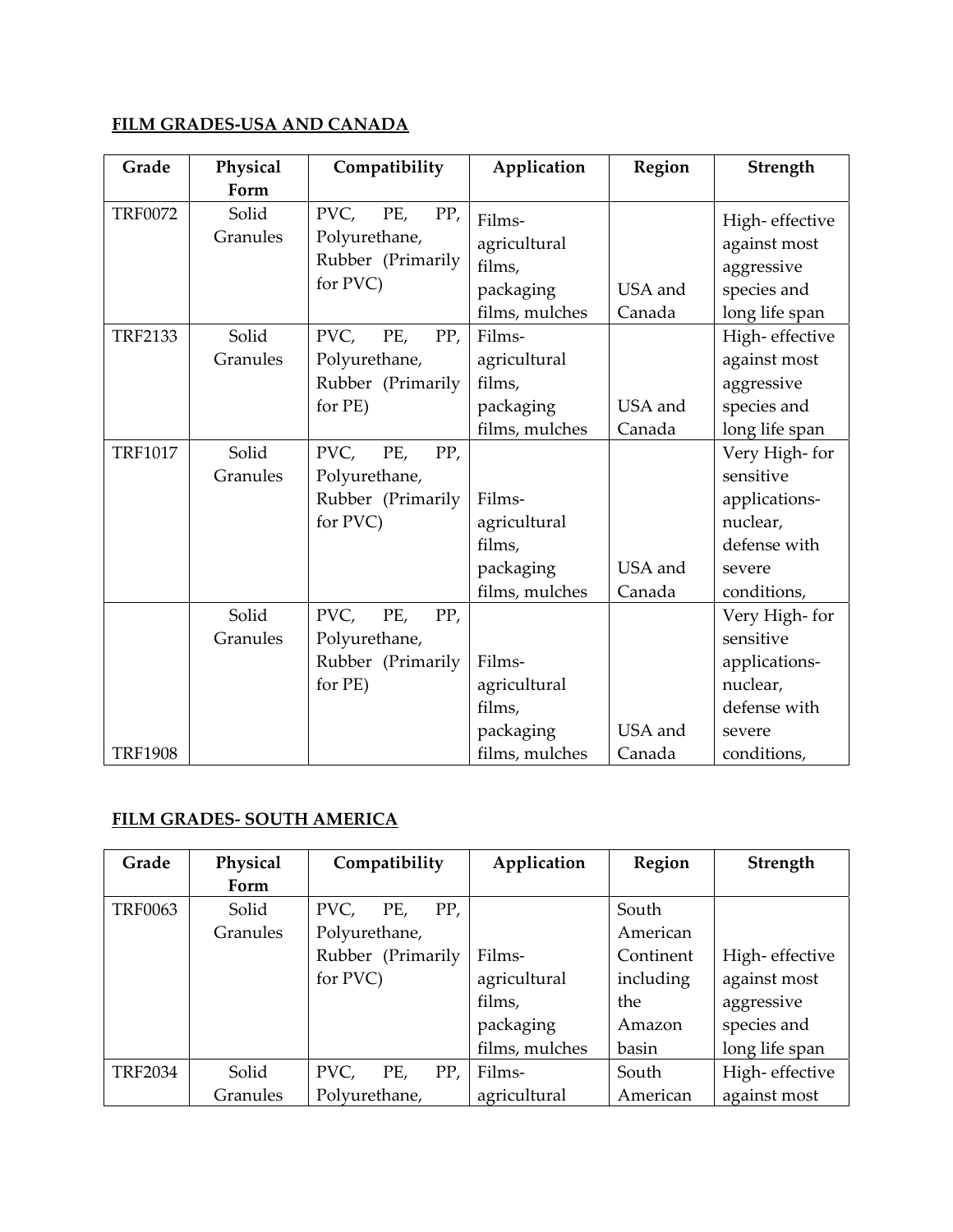## **FILM GRADES‐USA AND CANADA**

| Grade          | Physical          | Compatibility                                                        | Application                                                     | Region            | Strength                                                                                         |
|----------------|-------------------|----------------------------------------------------------------------|-----------------------------------------------------------------|-------------------|--------------------------------------------------------------------------------------------------|
|                | Form              |                                                                      |                                                                 |                   |                                                                                                  |
| <b>TRF0072</b> | Solid<br>Granules | PVC,<br>PE,<br>PP,<br>Polyurethane,<br>Rubber (Primarily<br>for PVC) | Films-<br>agricultural<br>films,<br>packaging<br>films, mulches | USA and<br>Canada | High-effective<br>against most<br>aggressive<br>species and<br>long life span                    |
| <b>TRF2133</b> | Solid<br>Granules | PVC,<br>PE,<br>PP,<br>Polyurethane,<br>Rubber (Primarily<br>for PE)  | Films-<br>agricultural<br>films,<br>packaging<br>films, mulches | USA and<br>Canada | High-effective<br>against most<br>aggressive<br>species and<br>long life span                    |
| <b>TRF1017</b> | Solid<br>Granules | PVC,<br>PP,<br>PE,<br>Polyurethane,<br>Rubber (Primarily<br>for PVC) | Films-<br>agricultural<br>films,<br>packaging<br>films, mulches | USA and<br>Canada | Very High-for<br>sensitive<br>applications-<br>nuclear,<br>defense with<br>severe<br>conditions, |
| <b>TRF1908</b> | Solid<br>Granules | PVC,<br>PE,<br>PP,<br>Polyurethane,<br>Rubber (Primarily<br>for PE)  | Films-<br>agricultural<br>films,<br>packaging<br>films, mulches | USA and<br>Canada | Very High-for<br>sensitive<br>applications-<br>nuclear,<br>defense with<br>severe<br>conditions, |

#### **FILM GRADES‐ SOUTH AMERICA**

| Grade          | Physical | Compatibility      | Application    | Region    | Strength       |
|----------------|----------|--------------------|----------------|-----------|----------------|
|                | Form     |                    |                |           |                |
| <b>TRF0063</b> | Solid    | PP,<br>PVC,<br>PE, |                | South     |                |
|                | Granules | Polyurethane,      |                | American  |                |
|                |          | Rubber (Primarily  | Films-         | Continent | High-effective |
|                |          | for PVC)           | agricultural   | including | against most   |
|                |          |                    | films,         | the       | aggressive     |
|                |          |                    | packaging      | Amazon    | species and    |
|                |          |                    | films, mulches | basin     | long life span |
| <b>TRF2034</b> | Solid    | PVC,<br>PE,<br>PP, | Films-         | South     | High-effective |
|                | Granules | Polyurethane,      | agricultural   | American  | against most   |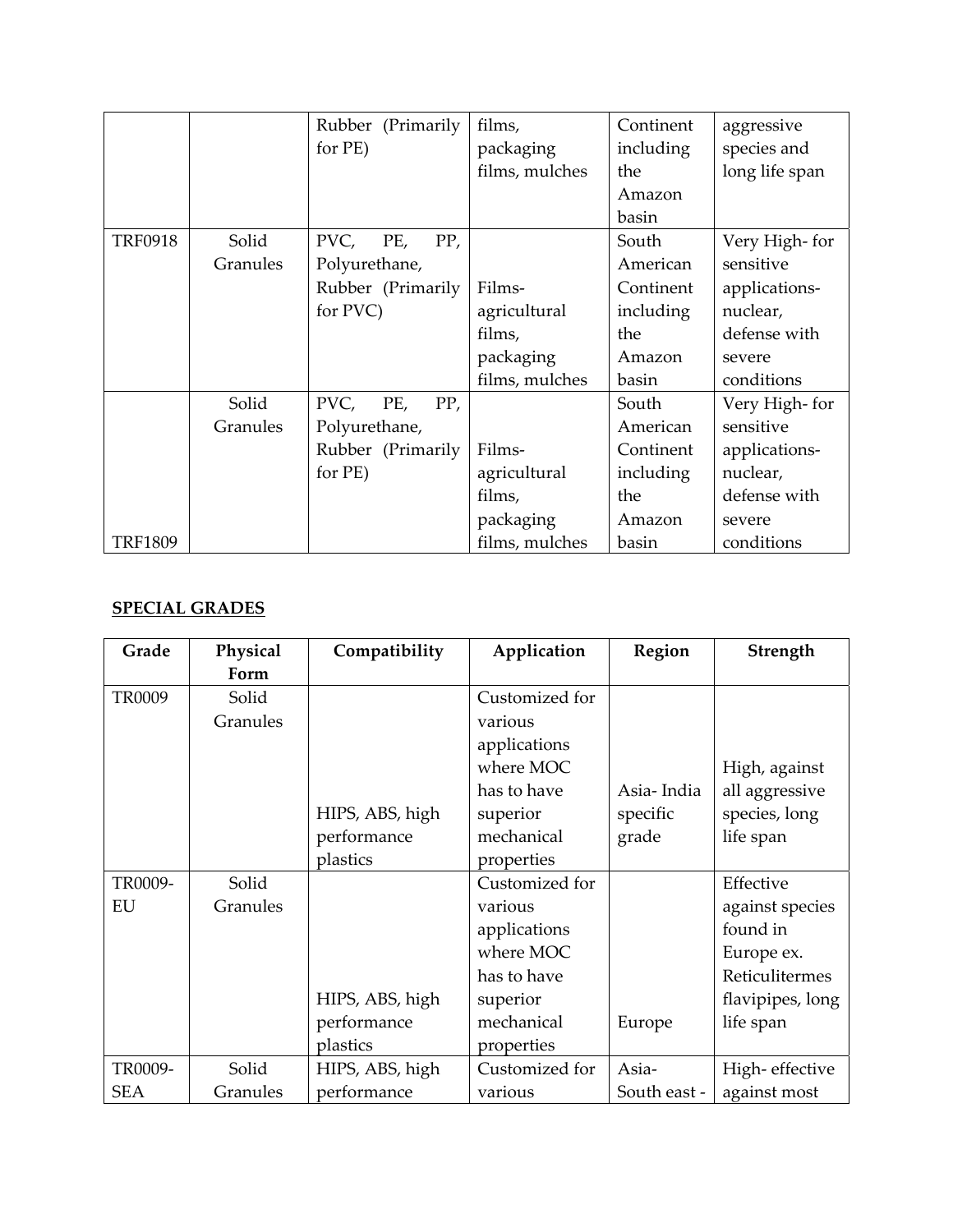|                |          | Rubber (Primarily  | films,         | Continent | aggressive     |
|----------------|----------|--------------------|----------------|-----------|----------------|
|                |          | for PE)            | packaging      | including | species and    |
|                |          |                    | films, mulches | the       | long life span |
|                |          |                    |                | Amazon    |                |
|                |          |                    |                | basin     |                |
| <b>TRF0918</b> | Solid    | PP,<br>PVC,<br>PE, |                | South     | Very High-for  |
|                | Granules | Polyurethane,      |                | American  | sensitive      |
|                |          | Rubber (Primarily  | Films-         | Continent | applications-  |
|                |          | for PVC)           | agricultural   | including | nuclear,       |
|                |          |                    | films,         | the       | defense with   |
|                |          |                    | packaging      | Amazon    | severe         |
|                |          |                    | films, mulches | basin     | conditions     |
|                | Solid    | PVC,<br>PE,<br>PP, |                | South     | Very High-for  |
|                | Granules | Polyurethane,      |                | American  | sensitive      |
|                |          | Rubber (Primarily  | Films-         | Continent | applications-  |
|                |          | for PE)            | agricultural   | including | nuclear,       |
|                |          |                    | films,         | the       | defense with   |
|                |          |                    | packaging      | Amazon    | severe         |
| <b>TRF1809</b> |          |                    | films, mulches | basin     | conditions     |

#### **SPECIAL GRADES**

| Grade         | Physical | Compatibility   | Application    | Region       | Strength         |
|---------------|----------|-----------------|----------------|--------------|------------------|
|               | Form     |                 |                |              |                  |
| <b>TR0009</b> | Solid    |                 | Customized for |              |                  |
|               | Granules |                 | various        |              |                  |
|               |          |                 | applications   |              |                  |
|               |          |                 | where MOC      |              | High, against    |
|               |          |                 | has to have    | Asia-India   | all aggressive   |
|               |          | HIPS, ABS, high | superior       | specific     | species, long    |
|               |          | performance     | mechanical     | grade        | life span        |
|               |          | plastics        | properties     |              |                  |
| TR0009-       | Solid    |                 | Customized for |              | Effective        |
| EU            | Granules |                 | various        |              | against species  |
|               |          |                 | applications   |              | found in         |
|               |          |                 | where MOC      |              | Europe ex.       |
|               |          |                 | has to have    |              | Reticulitermes   |
|               |          | HIPS, ABS, high | superior       |              | flavipipes, long |
|               |          | performance     | mechanical     | Europe       | life span        |
|               |          | plastics        | properties     |              |                  |
| TR0009-       | Solid    | HIPS, ABS, high | Customized for | Asia-        | High-effective   |
| <b>SEA</b>    | Granules | performance     | various        | South east - | against most     |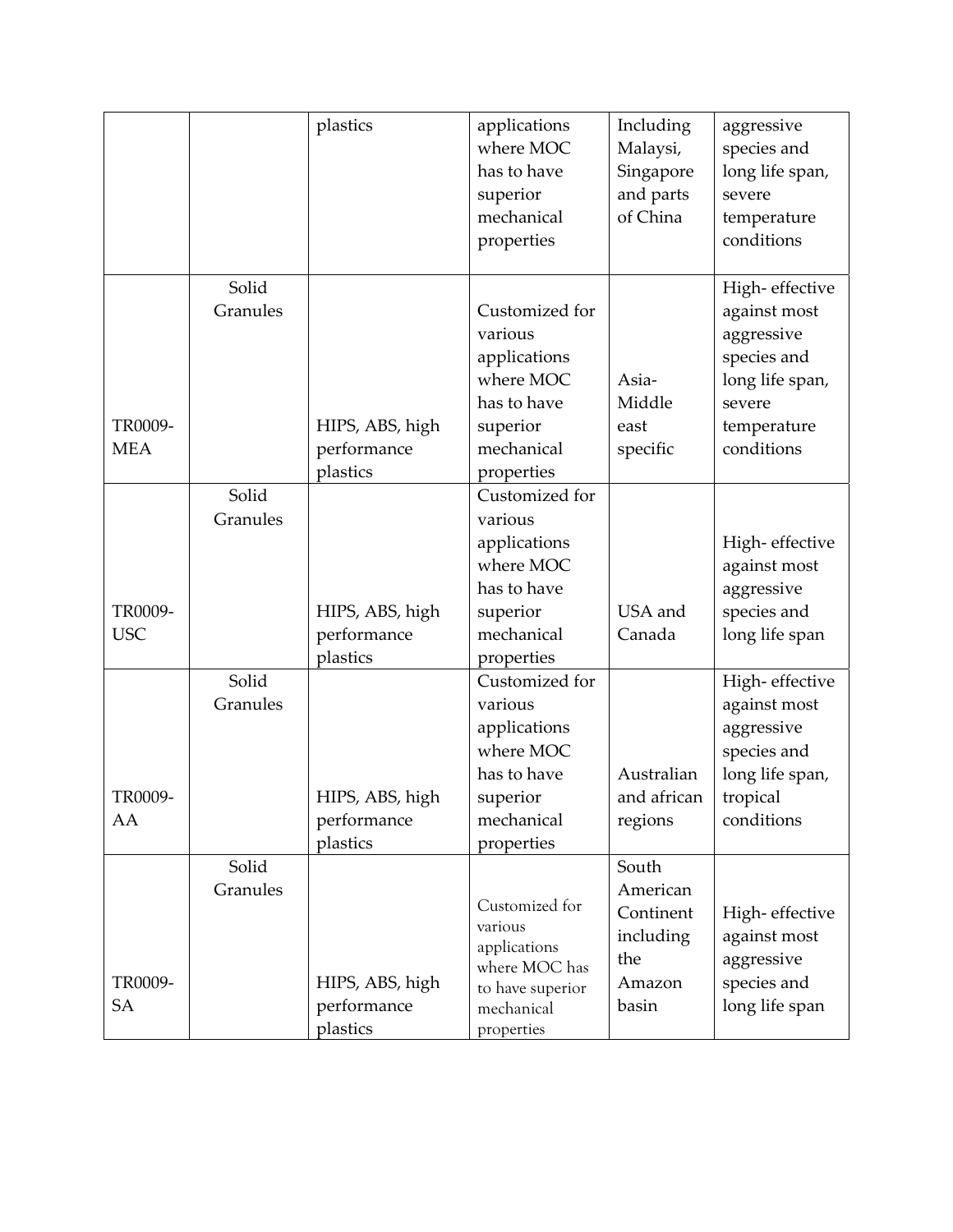|                       |                   | plastics                                               | applications<br>where MOC<br>has to have<br>superior<br>mechanical<br>properties                                            | Including<br>Malaysi,<br>Singapore<br>and parts<br>of China           | aggressive<br>species and<br>long life span,<br>severe<br>temperature<br>conditions                                   |
|-----------------------|-------------------|--------------------------------------------------------|-----------------------------------------------------------------------------------------------------------------------------|-----------------------------------------------------------------------|-----------------------------------------------------------------------------------------------------------------------|
| TR0009-<br><b>MEA</b> | Solid<br>Granules | HIPS, ABS, high<br>performance<br>plastics             | Customized for<br>various<br>applications<br>where MOC<br>has to have<br>superior<br>mechanical<br>properties               | Asia-<br>Middle<br>east<br>specific                                   | High-effective<br>against most<br>aggressive<br>species and<br>long life span,<br>severe<br>temperature<br>conditions |
| TR0009-<br><b>USC</b> | Solid<br>Granules | HIPS, ABS, high<br>performance                         | Customized for<br>various<br>applications<br>where MOC<br>has to have<br>superior<br>mechanical                             | USA and<br>Canada                                                     | High-effective<br>against most<br>aggressive<br>species and<br>long life span                                         |
| TR0009-<br>AA         | Solid<br>Granules | plastics<br>HIPS, ABS, high<br>performance<br>plastics | properties<br>Customized for<br>various<br>applications<br>where MOC<br>has to have<br>superior<br>mechanical<br>properties | Australian<br>and african<br>regions                                  | High-effective<br>against most<br>aggressive<br>species and<br>long life span,<br>tropical<br>conditions              |
| TR0009-<br>SA         | Solid<br>Granules | HIPS, ABS, high<br>performance<br>plastics             | Customized for<br>various<br>applications<br>where MOC has<br>to have superior<br>mechanical<br>properties                  | South<br>American<br>Continent<br>including<br>the<br>Amazon<br>basin | High-effective<br>against most<br>aggressive<br>species and<br>long life span                                         |